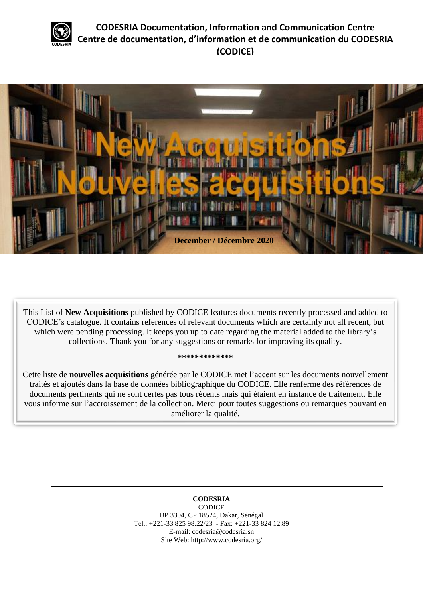

**CODESRIA Documentation, Information and Communication Centre Centre de documentation, d'information et de communication du CODESRIA (CODICE)**



This List of **New Acquisitions** published by CODICE features documents recently processed and added to CODICE's catalogue. It contains references of relevant documents which are certainly not all recent, but which were pending processing. It keeps you up to date regarding the material added to the library's collections. Thank you for any suggestions or remarks for improving its quality.

#### **\*\*\*\*\*\*\*\*\*\*\*\*\***

Cette liste de **nouvelles acquisitions** générée par le CODICE met l'accent sur les documents nouvellement traités et ajoutés dans la base de données bibliographique du CODICE. Elle renferme des références de documents pertinents qui ne sont certes pas tous récents mais qui étaient en instance de traitement. Elle vous informe sur l'accroissement de la collection. Merci pour toutes suggestions ou remarques pouvant en améliorer la qualité.

#### **CODESRIA** CODICE BP 3304, CP 18524, Dakar, Sénégal Tel.: +221-33 825 98.22/23 - Fax: +221-33 824 12.89 E-mail: codesria@codesria.sn Site Web: http://www.codesria.org/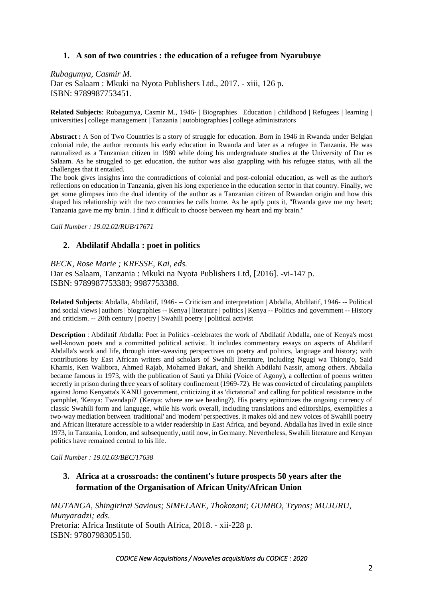## **1. A son of two countries : the education of a refugee from Nyarubuye**

*Rubagumya, Casmir M.* Dar es Salaam : Mkuki na Nyota Publishers Ltd., 2017. - xiii, 126 p. ISBN: 9789987753451.

**Related Subjects**: Rubagumya, Casmir M., 1946- | Biographies | Education | childhood | Refugees | learning | universities | college management | Tanzania | autobiographies | college administrators

**Abstract :** A Son of Two Countries is a story of struggle for education. Born in 1946 in Rwanda under Belgian colonial rule, the author recounts his early education in Rwanda and later as a refugee in Tanzania. He was naturalized as a Tanzanian citizen in 1980 while doing his undergraduate studies at the University of Dar es Salaam. As he struggled to get education, the author was also grappling with his refugee status, with all the challenges that it entailed.

The book gives insights into the contradictions of colonial and post-colonial education, as well as the author's reflections on education in Tanzania, given his long experience in the education sector in that country. Finally, we get some glimpses into the dual identity of the author as a Tanzanian citizen of Rwandan origin and how this shaped his relationship with the two countries he calls home. As he aptly puts it, "Rwanda gave me my heart; Tanzania gave me my brain. I find it difficult to choose between my heart and my brain."

*Call Number : 19.02.02/RUB/17671*

### **2. Abdilatif Abdalla : poet in politics**

*BECK, Rose Marie ; KRESSE, Kai, eds.*

Dar es Salaam, Tanzania : Mkuki na Nyota Publishers Ltd, [2016]. -vi-147 p. ISBN: 9789987753383; 9987753388.

**Related Subjects**: Abdalla, Abdilatif, 1946- -- Criticism and interpretation | Abdalla, Abdilatif, 1946- -- Political and social views | authors | biographies -- Kenya | literature | politics | Kenya -- Politics and government -- History and criticism. -- 20th century | poetry | Swahili poetry | political activist

**Description** : Abdilatif Abdalla: Poet in Politics -celebrates the work of Abdilatif Abdalla, one of Kenya's most well-known poets and a committed political activist. It includes commentary essays on aspects of Abdilatif Abdalla's work and life, through inter-weaving perspectives on poetry and politics, language and history; with contributions by East African writers and scholars of Swahili literature, including Ngugi wa Thiong'o, Said Khamis, Ken Walibora, Ahmed Rajab, Mohamed Bakari, and Sheikh Abdilahi Nassir, among others. Abdalla became famous in 1973, with the publication of Sauti ya Dhiki (Voice of Agony), a collection of poems written secretly in prison during three years of solitary confinement (1969-72). He was convicted of circulating pamphlets against Jomo Kenyatta's KANU government, criticizing it as 'dictatorial' and calling for political resistance in the pamphlet, 'Kenya: Twendapi?' (Kenya: where are we heading?). His poetry epitomizes the ongoing currency of classic Swahili form and language, while his work overall, including translations and editorships, exemplifies a two-way mediation between 'traditional' and 'modern' perspectives. It makes old and new voices of Swahili poetry and African literature accessible to a wider readership in East Africa, and beyond. Abdalla has lived in exile since 1973, in Tanzania, London, and subsequently, until now, in Germany. Nevertheless, Swahili literature and Kenyan politics have remained central to his life.

*Call Number : 19.02.03/BEC/17638*

# **3. Africa at a crossroads: the continent's future prospects 50 years after the formation of the Organisation of African Unity/African Union**

*MUTANGA, Shingirirai Savious; SIMELANE, Thokozani; GUMBO, Trynos; MUJURU, Munyaradzi; eds.* Pretoria: Africa Institute of South Africa, 2018. - xii-228 p. ISBN: 9780798305150.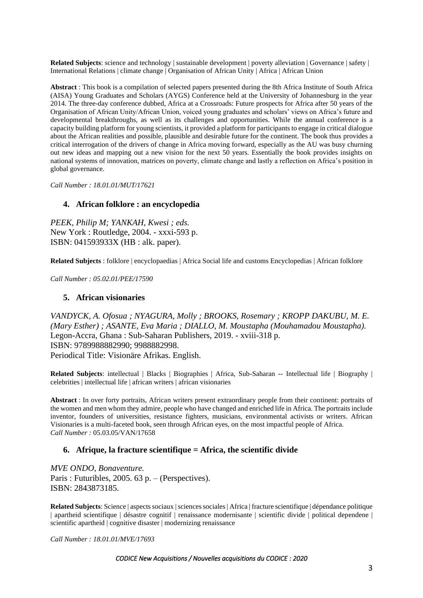**Related Subjects**: science and technology | sustainable development | poverty alleviation | Governance | safety | International Relations | climate change | Organisation of African Unity | Africa | African Union

**Abstract** : This book is a compilation of selected papers presented during the 8th Africa Institute of South Africa (AISA) Young Graduates and Scholars (AYGS) Conference held at the University of Johannesburg in the year 2014. The three-day conference dubbed, Africa at a Crossroads: Future prospects for Africa after 50 years of the Organisation of African Unity/African Union, voiced young graduates and scholars' views on Africa's future and developmental breakthroughs, as well as its challenges and opportunities. While the annual conference is a capacity building platform for young scientists, it provided a platform for participants to engage in critical dialogue about the African realities and possible, plausible and desirable future for the continent. The book thus provides a critical interrogation of the drivers of change in Africa moving forward, especially as the AU was busy churning out new ideas and mapping out a new vision for the next 50 years. Essentially the book provides insights on national systems of innovation, matrices on poverty, climate change and lastly a reflection on Africa's position in global governance.

*Call Number : 18.01.01/MUT/17621*

#### **4. African folklore : an encyclopedia**

*PEEK, Philip M; YANKAH, Kwesi ; eds.* New York : Routledge, 2004. - xxxi-593 p. ISBN: 041593933X (HB : alk. paper).

**Related Subjects** : folklore | encyclopaedias | Africa Social life and customs Encyclopedias | African folklore

*Call Number : 05.02.01/PEE/17590*

#### **5. African visionaries**

*VANDYCK, A. Ofosua ; NYAGURA, Molly ; BROOKS, Rosemary ; KROPP DAKUBU, M. E. (Mary Esther) ; ASANTE, Eva Maria ; DIALLO, M. Moustapha (Mouhamadou Moustapha).* Legon-Accra, Ghana : Sub-Saharan Publishers, 2019. - xviii-318 p. ISBN: 9789988882990; 9988882998. Periodical Title: Visionäre Afrikas. English.

**Related Subjects**: intellectual | Blacks | Biographies | Africa, Sub-Saharan -- Intellectual life | Biography | celebrities | intellectual life | african writers | african visionaries

**Abstract** : In over forty portraits, African writers present extraordinary people from their continent: portraits of the women and men whom they admire, people who have changed and enriched life in Africa. The portraits include inventor, founders of universities, resistance fighters, musicians, environmental activists or writers. African Visionaries is a multi-faceted book, seen through African eyes, on the most impactful people of Africa. *Call Number :* 05.03.05/VAN/17658

#### **6. Afrique, la fracture scientifique = Africa, the scientific divide**

*MVE ONDO, Bonaventure.* Paris : Futuribles, 2005. 63 p. – (Perspectives). ISBN: 2843873185.

**Related Subjects**: Science | aspects sociaux | sciences sociales | Africa | fracture scientifique | dépendance politique | apartheid scientifique | désastre cognitif | renaissance modernisante | scientific divide | political dependene | scientific apartheid | cognitive disaster | modernizing renaissance

*Call Number : 18.01.01/MVE/17693*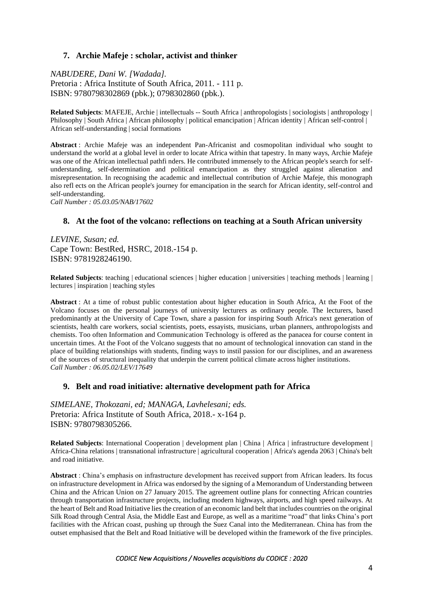## **7. Archie Mafeje : scholar, activist and thinker**

*NABUDERE, Dani W. [Wadada].* Pretoria : Africa Institute of South Africa, 2011. - 111 p. ISBN: 9780798302869 (pbk.); 0798302860 (pbk.).

**Related Subjects**: MAFEJE, Archie | intellectuals -- South Africa | anthropologists | sociologists | anthropology | Philosophy | South Africa | African philosophy | political emancipation | African identity | African self-control | African self-understanding | social formations

**Abstract** : Archie Mafeje was an independent Pan-Africanist and cosmopolitan individual who sought to understand the world at a global level in order to locate Africa within that tapestry. In many ways, Archie Mafeje was one of the African intellectual pathfi nders. He contributed immensely to the African people's search for selfunderstanding, self-determination and political emancipation as they struggled against alienation and misrepresentation. In recognising the academic and intellectual contribution of Archie Mafeje, this monograph also refl ects on the African people's journey for emancipation in the search for African identity, self-control and self-understanding.

*Call Number : 05.03.05/NAB/17602*

#### **8. At the foot of the volcano: reflections on teaching at a South African university**

*LEVINE, Susan; ed.* Cape Town: BestRed, HSRC, 2018.-154 p. ISBN: 9781928246190.

**Related Subjects**: teaching | educational sciences | higher education | universities | teaching methods | learning | lectures | inspiration | teaching styles

**Abstract** : At a time of robust public contestation about higher education in South Africa, At the Foot of the Volcano focuses on the personal journeys of university lecturers as ordinary people. The lecturers, based predominantly at the University of Cape Town, share a passion for inspiring South Africa's next generation of scientists, health care workers, social scientists, poets, essayists, musicians, urban planners, anthropologists and chemists. Too often Information and Communication Technology is offered as the panacea for course content in uncertain times. At the Foot of the Volcano suggests that no amount of technological innovation can stand in the place of building relationships with students, finding ways to instil passion for our disciplines, and an awareness of the sources of structural inequality that underpin the current political climate across higher institutions. *Call Number : 06.05.02/LEV/17649*

#### **9. Belt and road initiative: alternative development path for Africa**

*SIMELANE, Thokozani, ed; MANAGA, Lavhelesani; eds.* Pretoria: Africa Institute of South Africa, 2018.- x-164 p. ISBN: 9780798305266.

**Related Subjects**: International Cooperation | development plan | China | Africa | infrastructure development | Africa-China relations | transnational infrastructure | agricultural cooperation | Africa's agenda 2063 | China's belt and road initiative.

**Abstract** : China's emphasis on infrastructure development has received support from African leaders. Its focus on infrastructure development in Africa was endorsed by the signing of a Memorandum of Understanding between China and the African Union on 27 January 2015. The agreement outline plans for connecting African countries through transportation infrastructure projects, including modern highways, airports, and high speed railways. At the heart of Belt and Road Initiative lies the creation of an economic land belt that includes countries on the original Silk Road through Central Asia, the Middle East and Europe, as well as a maritime "road" that links China's port facilities with the African coast, pushing up through the Suez Canal into the Mediterranean. China has from the outset emphasised that the Belt and Road Initiative will be developed within the framework of the five principles.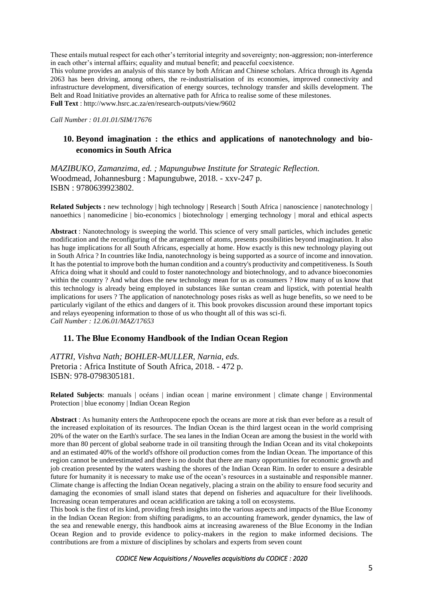These entails mutual respect for each other's territorial integrity and sovereignty; non-aggression; non-interference in each other's internal affairs; equality and mutual benefit; and peaceful coexistence.

This volume provides an analysis of this stance by both African and Chinese scholars. Africa through its Agenda 2063 has been driving, among others, the re-industrialisation of its economies, improved connectivity and infrastructure development, diversification of energy sources, technology transfer and skills development. The Belt and Road Initiative provides an alternative path for Africa to realise some of these milestones. **Full Text** :<http://www.hsrc.ac.za/en/research-outputs/view/9602>

*Call Number : 01.01.01/SIM/17676*

## **10. Beyond imagination : the ethics and applications of nanotechnology and bioeconomics in South Africa**

*MAZIBUKO, Zamanzima, ed. ; Mapungubwe Institute for Strategic Reflection.* Woodmead, Johannesburg : Mapungubwe, 2018. - xxv-247 p. ISBN : 9780639923802.

**Related Subjects :** new technology | high technology | Research | South Africa | nanoscience | nanotechnology | nanoethics | nanomedicine | bio-economics | biotechnology | emerging technology | moral and ethical aspects

**Abstract** : Nanotechnology is sweeping the world. This science of very small particles, which includes genetic modification and the reconfiguring of the arrangement of atoms, presents possibilities beyond imagination. It also has huge implications for all South Africans, especially at home. How exactly is this new technology playing out in South Africa ? In countries like India, nanotechnology is being supported as a source of income and innovation. It has the potential to improve both the human condition and a country's productivity and competitiveness. Is South Africa doing what it should and could to foster nanotechnology and biotechnology, and to advance bioeconomies within the country ? And what does the new technology mean for us as consumers ? How many of us know that this technology is already being employed in substances like suntan cream and lipstick, with potential health implications for users ? The application of nanotechnology poses risks as well as huge benefits, so we need to be particularly vigilant of the ethics and dangers of it. This book provokes discussion around these important topics and relays eyeopening information to those of us who thought all of this was sci-fi. *Call Number : 12.06.01/MAZ/17653*

#### **11. The Blue Economy Handbook of the Indian Ocean Region**

*ATTRI, Vishva Nath; BOHLER-MULLER, Narnia, eds.* Pretoria : Africa Institute of South Africa, 2018. - 472 p. ISBN: 978-0798305181.

**Related Subjects**: manuals | océans | indian ocean | marine environment | climate change | Environmental Protection | blue economy | Indian Ocean Region

**Abstract** : As humanity enters the Anthropocene epoch the oceans are more at risk than ever before as a result of the increased exploitation of its resources. The Indian Ocean is the third largest ocean in the world comprising 20% of the water on the Earth's surface. The sea lanes in the Indian Ocean are among the busiest in the world with more than 80 percent of global seaborne trade in oil transiting through the Indian Ocean and its vital chokepoints and an estimated 40% of the world's offshore oil production comes from the Indian Ocean. The importance of this region cannot be underestimated and there is no doubt that there are many opportunities for economic growth and job creation presented by the waters washing the shores of the Indian Ocean Rim. In order to ensure a desirable future for humanity it is necessary to make use of the ocean's resources in a sustainable and responsible manner. Climate change is affecting the Indian Ocean negatively, placing a strain on the ability to ensure food security and damaging the economies of small island states that depend on fisheries and aquaculture for their livelihoods. Increasing ocean temperatures and ocean acidification are taking a toll on ecosystems.

This book is the first of its kind, providing fresh insights into the various aspects and impacts of the Blue Economy in the Indian Ocean Region: from shifting paradigms, to an accounting framework, gender dynamics, the law of the sea and renewable energy, this handbook aims at increasing awareness of the Blue Economy in the Indian Ocean Region and to provide evidence to policy-makers in the region to make informed decisions. The contributions are from a mixture of disciplines by scholars and experts from seven count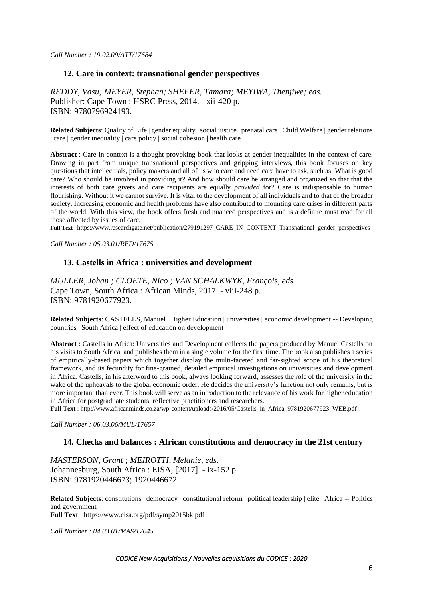### **12. Care in context: transnational gender perspectives**

*REDDY, Vasu; MEYER, Stephan; SHEFER, Tamara; MEYIWA, Thenjiwe; eds.* Publisher: Cape Town : HSRC Press, 2014. - xii-420 p. ISBN: 9780796924193.

**Related Subjects**: Quality of Life | gender equality | social justice | prenatal care | Child Welfare | gender relations | care | gender inequality | care policy | social cohesion | health care

**Abstract** : Care in context is a thought-provoking book that looks at gender inequalities in the context of care. Drawing in part from unique transnational perspectives and gripping interviews, this book focuses on key questions that intellectuals, policy makers and all of us who care and need care have to ask, such as: What is good care? Who should be involved in providing it? And how should care be arranged and organized so that that the interests of both care givers and care recipients are equally *provided* for? Care is indispensable to human flourishing. Without it we cannot survive. It is vital to the development of all individuals and to that of the broader society. Increasing economic and health problems have also contributed to mounting care crises in different parts of the world. With this view, the book offers fresh and nuanced perspectives and is a definite must read for all those affected by issues of care.

**Full Text** : [https://www.researchgate.net/publication/279191297\\_CARE\\_IN\\_CONTEXT\\_Transnational\\_gender\\_perspectives](https://www.researchgate.net/publication/279191297_CARE_IN_CONTEXT_Transnational_gender_perspectives)

*Call Number : 05.03.01/RED/17675* 

### **13. Castells in Africa : universities and development**

*MULLER, Johan ; CLOETE, Nico ; VAN SCHALKWYK, François, eds*  Cape Town, South Africa : African Minds, 2017. - viii-248 p. ISBN: 9781920677923.

**Related Subjects**: CASTELLS, Manuel | Higher Education | universities | economic development -- Developing countries | South Africa | effect of education on development

**Abstract** : Castells in Africa: Universities and Development collects the papers produced by Manuel Castells on his visits to South Africa, and publishes them in a single volume for the first time. The book also publishes a series of empirically-based papers which together display the multi-faceted and far-sighted scope of his theoretical framework, and its fecundity for fine-grained, detailed empirical investigations on universities and development in Africa. Castells, in his afterword to this book, always looking forward, assesses the role of the university in the wake of the upheavals to the global economic order. He decides the university's function not only remains, but is more important than ever. This book will serve as an introduction to the relevance of his work for higher education in Africa for postgraduate students, reflective practitioners and researchers.

**Full Text** [: http://www.africanminds.co.za/wp-content/uploads/2016/05/Castells\\_in\\_Africa\\_9781920677923\\_WEB.pdf](http://www.africanminds.co.za/wp-content/uploads/2016/05/Castells_in_Africa_9781920677923_WEB.pdf)

*Call Number : 06.03.06/MUL/17657*

#### **14. Checks and balances : African constitutions and democracy in the 21st century**

*MASTERSON, Grant ; MEIROTTI, Melanie, eds.* Johannesburg, South Africa : EISA, [2017]. - ix-152 p. ISBN: 9781920446673; 1920446672.

**Related Subjects**: constitutions | democracy | constitutional reform | political leadership | elite | Africa -- Politics and government **Full Text** :<https://www.eisa.org/pdf/symp2015bk.pdf>

*Call Number : 04.03.01/MAS/17645*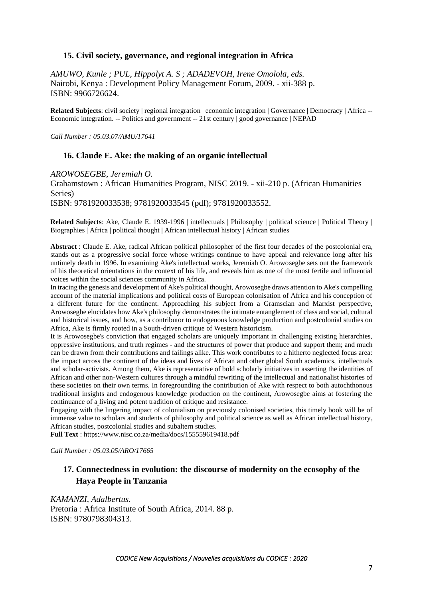### **15. Civil society, governance, and regional integration in Africa**

*AMUWO, Kunle ; PUL, Hippolyt A. S ; ADADEVOH, Irene Omolola, eds.* Nairobi, Kenya : Development Policy Management Forum, 2009. - xii-388 p. ISBN: 9966726624.

**Related Subjects**: civil society | regional integration | economic integration | Governance | Democracy | Africa -- Economic integration. -- Politics and government -- 21st century | good governance | NEPAD

*Call Number : 05.03.07/AMU/17641*

#### **16. Claude E. Ake: the making of an organic intellectual**

*AROWOSEGBE, Jeremiah O.*

Grahamstown : African Humanities Program, NISC 2019. - xii-210 p. (African Humanities Series) ISBN: 9781920033538; 9781920033545 (pdf); 9781920033552.

**Related Subjects**: Ake, Claude E. 1939-1996 | intellectuals | Philosophy | political science | Political Theory | Biographies | Africa | political thought | African intellectual history | African studies

**Abstract** : Claude E. Ake, radical African political philosopher of the first four decades of the postcolonial era, stands out as a progressive social force whose writings continue to have appeal and relevance long after his untimely death in 1996. In examining Ake's intellectual works, Jeremiah O. Arowosegbe sets out the framework of his theoretical orientations in the context of his life, and reveals him as one of the most fertile and influential voices within the social sciences community in Africa.

In tracing the genesis and development of Ake's political thought, Arowosegbe draws attention to Ake's compelling account of the material implications and political costs of European colonisation of Africa and his conception of a different future for the continent. Approaching his subject from a Gramscian and Marxist perspective, Arowosegbe elucidates how Ake's philosophy demonstrates the intimate entanglement of class and social, cultural and historical issues, and how, as a contributor to endogenous knowledge production and postcolonial studies on Africa, Ake is firmly rooted in a South-driven critique of Western historicism.

It is Arowosegbe's conviction that engaged scholars are uniquely important in challenging existing hierarchies, oppressive institutions, and truth regimes - and the structures of power that produce and support them; and much can be drawn from their contributions and failings alike. This work contributes to a hitherto neglected focus area: the impact across the continent of the ideas and lives of African and other global South academics, intellectuals and scholar-activists. Among them, Ake is representative of bold scholarly initiatives in asserting the identities of African and other non-Western cultures through a mindful rewriting of the intellectual and nationalist histories of these societies on their own terms. In foregrounding the contribution of Ake with respect to both autochthonous traditional insights and endogenous knowledge production on the continent, Arowosegbe aims at fostering the continuance of a living and potent tradition of critique and resistance.

Engaging with the lingering impact of colonialism on previously colonised societies, this timely book will be of immense value to scholars and students of philosophy and political science as well as African intellectual history, African studies, postcolonial studies and subaltern studies.

**Full Text** :<https://www.nisc.co.za/media/docs/155559619418.pdf>

*Call Number : 05.03.05/ARO/17665*

## **17. Connectedness in evolution: the discourse of modernity on the ecosophy of the Haya People in Tanzania**

*KAMANZI, Adalbertus.* Pretoria : Africa Institute of South Africa, 2014. 88 p. ISBN: 9780798304313.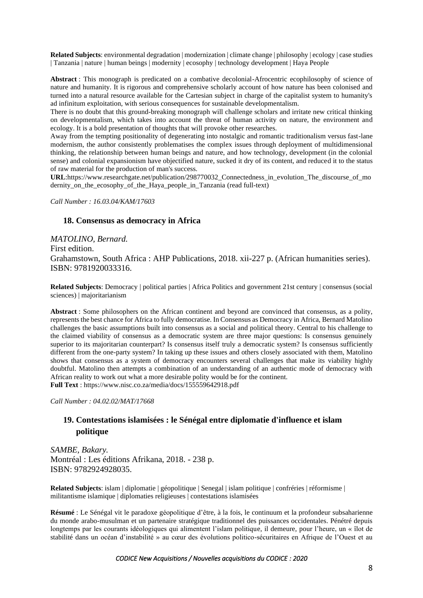**Related Subjects**: environmental degradation | modernization | climate change | philosophy | ecology | case studies | Tanzania | nature | human beings | modernity | ecosophy | technology development | Haya People

**Abstract** : This monograph is predicated on a combative decolonial-Afrocentric ecophilosophy of science of nature and humanity. It is rigorous and comprehensive scholarly account of how nature has been colonised and turned into a natural resource available for the Cartesian subject in charge of the capitalist system to humanity's ad infinitum exploitation, with serious consequences for sustainable developmentalism.

There is no doubt that this ground-breaking monograph will challenge scholars and irritate new critical thinking on developmentalism, which takes into account the threat of human activity on nature, the environment and ecology. It is a bold presentation of thoughts that will provoke other researches.

Away from the tempting positionality of degenerating into nostalgic and romantic traditionalism versus fast-lane modernism, the author consistently problematises the complex issues through deployment of multidimensional thinking, the relationship between human beings and nature, and how technology, development (in the colonial sense) and colonial expansionism have objectified nature, sucked it dry of its content, and reduced it to the status of raw material for the production of man's success.

**URL**[:https://www.researchgate.net/publication/298770032\\_Connectedness\\_in\\_evolution\\_The\\_discourse\\_of\\_mo](https://www.researchgate.net/publication/298770032_Connectedness_in_evolution_The_discourse_of_modernity_on_the_ecosophy_of_the_Haya_people_in_Tanzania) dernity on the ecosophy of the Haya people in Tanzania (read full-text)

*Call Number : 16.03.04/KAM/17603*

#### **18. Consensus as democracy in Africa**

*MATOLINO, Bernard.* First edition. Grahamstown, South Africa : AHP Publications, 2018. xii-227 p. (African humanities series). ISBN: 9781920033316.

**Related Subjects**: Democracy | political parties | Africa Politics and government 21st century | consensus (social sciences) | majoritarianism

**Abstract** : Some philosophers on the African continent and beyond are convinced that consensus, as a polity, represents the best chance for Africa to fully democratise. In Consensus as Democracy in Africa, Bernard Matolino challenges the basic assumptions built into consensus as a social and political theory. Central to his challenge to the claimed viability of consensus as a democratic system are three major questions: Is consensus genuinely superior to its majoritarian counterpart? Is consensus itself truly a democratic system? Is consensus sufficiently different from the one-party system? In taking up these issues and others closely associated with them, Matolino shows that consensus as a system of democracy encounters several challenges that make its viability highly doubtful. Matolino then attempts a combination of an understanding of an authentic mode of democracy with African reality to work out what a more desirable polity would be for the continent. **Full Text** :<https://www.nisc.co.za/media/docs/155559642918.pdf>

*Call Number : 04.02.02/MAT/17668*

## **19. Contestations islamisées : le Sénégal entre diplomatie d'influence et islam politique**

*SAMBE, Bakary.* Montréal : Les éditions Afrikana, 2018. - 238 p. ISBN: 9782924928035.

**Related Subjects**: islam | diplomatie | géopolitique | Senegal | islam politique | confréries | réformisme | militantisme islamique | diplomaties religieuses | contestations islamisées

**Résumé** : Le Sénégal vit le paradoxe géopolitique d'être, à la fois, le continuum et la profondeur subsaharienne du monde arabo-musulman et un partenaire stratégique traditionnel des puissances occidentales. Pénétré depuis longtemps par les courants idéologiques qui alimentent l'islam politique, il demeure, pour l'heure, un « îlot de stabilité dans un océan d'instabilité » au cœur des évolutions politico-sécuritaires en Afrique de l'Ouest et au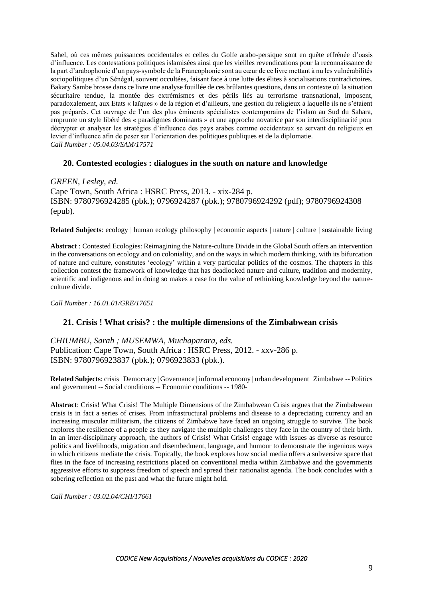Sahel, où ces mêmes puissances occidentales et celles du Golfe arabo-persique sont en quête effrénée d'oasis d'influence. Les contestations politiques islamisées ainsi que les vieilles revendications pour la reconnaissance de la part d'arabophonie d'un pays-symbole de la Francophonie sont au cœur de ce livre mettant à nu les vulnérabilités sociopolitiques d'un Sénégal, souvent occultées, faisant face à une lutte des élites à socialisations contradictoires. Bakary Sambe brosse dans ce livre une analyse fouillée de ces brûlantes questions, dans un contexte où la situation sécuritaire tendue, la montée des extrémismes et des périls liés au terrorisme transnational, imposent, paradoxalement, aux Etats « laïques » de la région et d'ailleurs, une gestion du religieux à laquelle ils ne s'étaient pas préparés. Cet ouvrage de l'un des plus éminents spécialistes contemporains de l'islam au Sud du Sahara, emprunte un style libéré des « paradigmes dominants » et une approche novatrice par son interdisciplinarité pour décrypter et analyser les stratégies d'influence des pays arabes comme occidentaux se servant du religieux en levier d'influence afin de peser sur l'orientation des politiques publiques et de la diplomatie. *Call Number : 05.04.03/SAM/17571*

### **20. Contested ecologies : dialogues in the south on nature and knowledge**

*GREEN, Lesley, ed.* Cape Town, South Africa : HSRC Press, 2013. - xix-284 p. ISBN: 9780796924285 (pbk.); 0796924287 (pbk.); 9780796924292 (pdf); 9780796924308 (epub).

**Related Subjects**: ecology | human ecology philosophy | economic aspects | nature | culture | sustainable living

**Abstract** : Contested Ecologies: Reimagining the Nature-culture Divide in the Global South offers an intervention in the conversations on ecology and on coloniality, and on the ways in which modern thinking, with its bifurcation of nature and culture, constitutes 'ecology' within a very particular politics of the cosmos. The chapters in this collection contest the framework of knowledge that has deadlocked nature and culture, tradition and modernity, scientific and indigenous and in doing so makes a case for the value of rethinking knowledge beyond the natureculture divide.

*Call Number : 16.01.01/GRE/17651*

#### **21. Crisis ! What crisis? : the multiple dimensions of the Zimbabwean crisis**

*CHIUMBU, Sarah ; MUSEMWA, Muchaparara, eds.* Publication: Cape Town, South Africa : HSRC Press, 2012. - xxv-286 p. ISBN: 9780796923837 (pbk.); 0796923833 (pbk.).

**Related Subjects**: crisis | Democracy | Governance | informal economy | urban development | Zimbabwe -- Politics and government -- Social conditions -- Economic conditions -- 1980-

**Abstract**: Crisis! What Crisis! The Multiple Dimensions of the Zimbabwean Crisis argues that the Zimbabwean crisis is in fact a series of crises. From infrastructural problems and disease to a depreciating currency and an increasing muscular militarism, the citizens of Zimbabwe have faced an ongoing struggle to survive. The book explores the resilience of a people as they navigate the multiple challenges they face in the country of their birth. In an inter-disciplinary approach, the authors of Crisis! What Crisis! engage with issues as diverse as resource politics and livelihoods, migration and disembedment, language, and humour to demonstrate the ingenious ways in which citizens mediate the crisis. Topically, the book explores how social media offers a subversive space that flies in the face of increasing restrictions placed on conventional media within Zimbabwe and the governments aggressive efforts to suppress freedom of speech and spread their nationalist agenda. The book concludes with a sobering reflection on the past and what the future might hold.

*Call Number : 03.02.04/CHI/17661*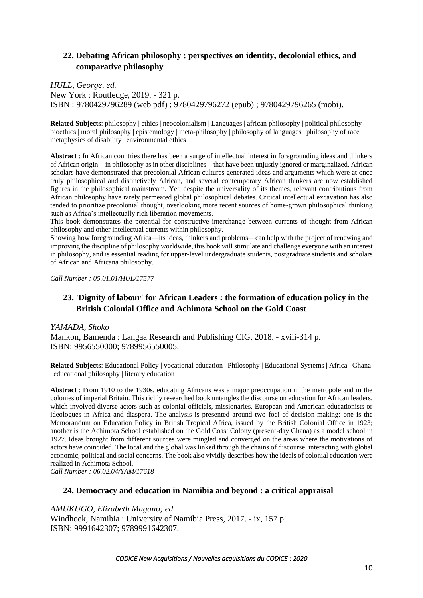# **22. Debating African philosophy : perspectives on identity, decolonial ethics, and comparative philosophy**

*HULL, George, ed.* New York : Routledge, 2019. - 321 p. ISBN : 9780429796289 (web pdf) ; 9780429796272 (epub) ; 9780429796265 (mobi).

**Related Subjects**: philosophy | ethics | neocolonialism | Languages | african philosophy | political philosophy | bioethics | moral philosophy | epistemology | meta-philosophy | philosophy of languages | philosophy of race | metaphysics of disability | environmental ethics

**Abstract** : In African countries there has been a surge of intellectual interest in foregrounding ideas and thinkers of African origin—in philosophy as in other disciplines—that have been unjustly ignored or marginalized. African scholars have demonstrated that precolonial African cultures generated ideas and arguments which were at once truly philosophical and distinctively African, and several contemporary African thinkers are now established figures in the philosophical mainstream. Yet, despite the universality of its themes, relevant contributions from African philosophy have rarely permeated global philosophical debates. Critical intellectual excavation has also tended to prioritize precolonial thought, overlooking more recent sources of home-grown philosophical thinking such as Africa's intellectually rich liberation movements.

This book demonstrates the potential for constructive interchange between currents of thought from African philosophy and other intellectual currents within philosophy.

Showing how foregrounding Africa—its ideas, thinkers and problems—can help with the project of renewing and improving the discipline of philosophy worldwide, this book will stimulate and challenge everyone with an interest in philosophy, and is essential reading for upper-level undergraduate students, postgraduate students and scholars of African and Africana philosophy.

*Call Number : 05.01.01/HUL/17577*

## **23. 'Dignity of labour' for African Leaders : the formation of education policy in the British Colonial Office and Achimota School on the Gold Coast**

*YAMADA, Shoko*  Mankon, Bamenda : Langaa Research and Publishing CIG, 2018. - xviii-314 p. ISBN: 9956550000; 9789956550005.

**Related Subjects**: Educational Policy | vocational education | Philosophy | Educational Systems | Africa | Ghana | educational philosophy | literary education

**Abstract** : From 1910 to the 1930s, educating Africans was a major preoccupation in the metropole and in the colonies of imperial Britain. This richly researched book untangles the discourse on education for African leaders, which involved diverse actors such as colonial officials, missionaries, European and American educationists or ideologues in Africa and diaspora. The analysis is presented around two foci of decision-making: one is the Memorandum on Education Policy in British Tropical Africa, issued by the British Colonial Office in 1923; another is the Achimota School established on the Gold Coast Colony (present-day Ghana) as a model school in 1927. Ideas brought from different sources were mingled and converged on the areas where the motivations of actors have coincided. The local and the global was linked through the chains of discourse, interacting with global economic, political and social concerns. The book also vividly describes how the ideals of colonial education were realized in Achimota School.

*Call Number : 06.02.04/YAM/17618*

### **24. Democracy and education in Namibia and beyond : a critical appraisal**

*AMUKUGO, Elizabeth Magano; ed.* Windhoek, Namibia : University of Namibia Press, 2017. - ix, 157 p. ISBN: 9991642307; 9789991642307.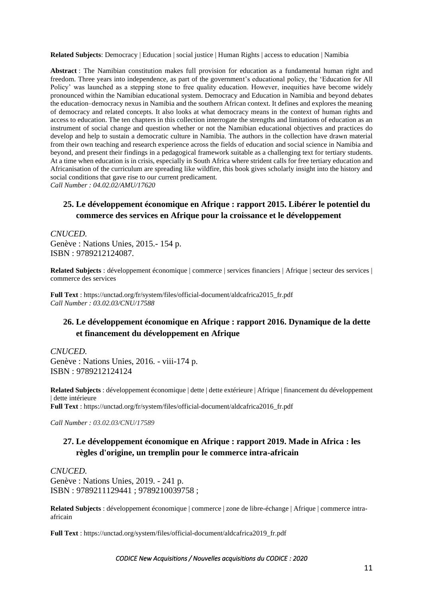**Related Subjects**: Democracy | Education | social justice | Human Rights | access to education | Namibia

**Abstract** : The Namibian constitution makes full provision for education as a fundamental human right and freedom. Three years into independence, as part of the government's educational policy, the 'Education for All Policy' was launched as a stepping stone to free quality education. However, inequities have become widely pronounced within the Namibian educational system. Democracy and Education in Namibia and beyond debates the education–democracy nexus in Namibia and the southern African context. It defines and explores the meaning of democracy and related concepts. It also looks at what democracy means in the context of human rights and access to education. The ten chapters in this collection interrogate the strengths and limitations of education as an instrument of social change and question whether or not the Namibian educational objectives and practices do develop and help to sustain a democratic culture in Namibia. The authors in the collection have drawn material from their own teaching and research experience across the fields of education and social science in Namibia and beyond, and present their findings in a pedagogical framework suitable as a challenging text for tertiary students. At a time when education is in crisis, especially in South Africa where strident calls for free tertiary education and Africanisation of the curriculum are spreading like wildfire, this book gives scholarly insight into the history and social conditions that gave rise to our current predicament. *Call Number : 04.02.02/AMU/17620*

## **25. Le développement économique en Afrique : rapport 2015. Libérer le potentiel du commerce des services en Afrique pour la croissance et le développement**

*CNUCED.* Genève : Nations Unies, 2015.- 154 p. ISBN : 9789212124087.

**Related Subjects** : développement économique | commerce | services financiers | Afrique | secteur des services | commerce des services

**Full Text** : [https://unctad.org/fr/system/files/official-document/aldcafrica2015\\_fr.pdf](https://unctad.org/fr/system/files/official-document/aldcafrica2015_fr.pdf) *Call Number : 03.02.03/CNU/17588*

## **26. Le développement économique en Afrique : rapport 2016. Dynamique de la dette et financement du développement en Afrique**

*CNUCED.* Genève : Nations Unies, 2016. - viii-174 p. ISBN : 9789212124124

**Related Subjects** : développement économique | dette | dette extérieure | Afrique | financement du développement | dette intérieure **Full Text** : [https://unctad.org/fr/system/files/official-document/aldcafrica2016\\_fr.pdf](https://unctad.org/fr/system/files/official-document/aldcafrica2016_fr.pdf)

*Call Number : 03.02.03/CNU/17589*

## **27. Le développement économique en Afrique : rapport 2019. Made in Africa : les règles d'origine, un tremplin pour le commerce intra-africain**

*CNUCED.* Genève : Nations Unies, 2019. - 241 p. ISBN : 9789211129441 ; 9789210039758 ;

**Related Subjects** : développement économique | commerce | zone de libre-échange | Afrique | commerce intraafricain

**Full Text** : [https://unctad.org/system/files/official-document/aldcafrica2019\\_fr.pdf](https://unctad.org/system/files/official-document/aldcafrica2019_fr.pdf)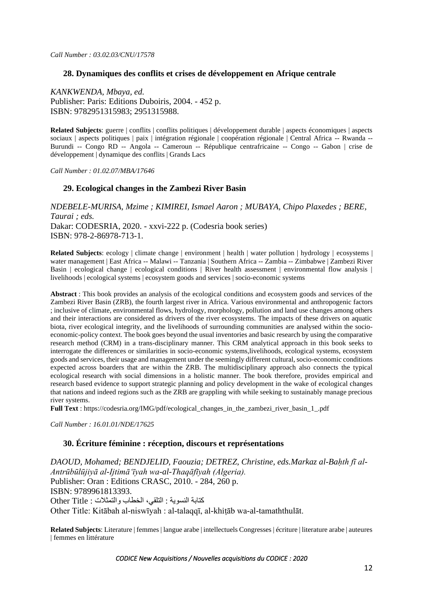### **28. Dynamiques des conflits et crises de développement en Afrique centrale**

*KANKWENDA, Mbaya, ed.* Publisher: Paris: Editions Duboiris, 2004. - 452 p. ISBN: 9782951315983; 2951315988.

**Related Subjects**: guerre | conflits | conflits politiques | développement durable | aspects économiques | aspects sociaux | aspects politiques | paix | intégration régionale | coopération régionale | Central Africa -- Rwanda --Burundi -- Congo RD -- Angola -- Cameroun -- République centrafricaine -- Congo -- Gabon | crise de développement | dynamique des conflits | Grands Lacs

*Call Number : 01.02.07/MBA/17646*

### **29. Ecological changes in the Zambezi River Basin**

*NDEBELE-MURISA, Mzime ; KIMIREI, Ismael Aaron ; MUBAYA, Chipo Plaxedes ; BERE, Taurai ; eds.* Dakar: CODESRIA, 2020. - xxvi-222 p. (Codesria book series) ISBN: 978-2-86978-713-1.

**Related Subjects**: ecology | climate change | environment | health | water pollution | hydrology | ecosystems | water management | East Africa -- Malawi -- Tanzania | Southern Africa -- Zambia -- Zimbabwe | Zambezi River Basin | ecological change | ecological conditions | River health assessment | environmental flow analysis | livelihoods | ecological systems | ecosystem goods and services | socio-economic systems

**Abstract** : This book provides an analysis of the ecological conditions and ecosystem goods and services of the Zambezi River Basin (ZRB), the fourth largest river in Africa. Various environmental and anthropogenic factors ; inclusive of climate, environmental flows, hydrology, morphology, pollution and land use changes among others and their interactions are considered as drivers of the river ecosystems. The impacts of these drivers on aquatic biota, river ecological integrity, and the livelihoods of surrounding communities are analysed within the socioeconomic-policy context. The book goes beyond the usual inventories and basic research by using the comparative research method (CRM) in a trans-disciplinary manner. This CRM analytical approach in this book seeks to interrogate the differences or similarities in socio-economic systems,livelihoods, ecological systems, ecosystem goods and services, their usage and management under the seemingly different cultural, socio-economic conditions expected across boarders that are within the ZRB. The multidisciplinary approach also connects the typical ecological research with social dimensions in a holistic manner. The book therefore, provides empirical and research based evidence to support strategic planning and policy development in the wake of ecological changes that nations and indeed regions such as the ZRB are grappling with while seeking to sustainably manage precious river systems.

**Full Text** : https://codesria.org/IMG/pdf/ecological changes in the zambezi river basin 1.pdf

*Call Number : 16.01.01/NDE/17625*

#### **30. Écriture féminine : réception, discours et représentations**

*DAOUD, Mohamed; BENDJELID, Faouzia; DETREZ, Christine, eds.Markaz al-Baḥth fī al-Antrūbūlūjiyā al-Ijtimāʻīyah wa-al-Thaqāfīyah (Algeria).* Publisher: Oran : Editions CRASC, 2010. - 284, 260 p. ISBN: 9789961813393. كتابة النسوية : التلقي، الخطاب والتمثلات : Other Title Other Title: Kitābah al-niswīyah : al-talaqqī, al-khiṭāb wa-al-tamaththulāt.

**Related Subjects**: Literature | femmes | langue arabe | intellectuels Congresses | écriture | literature arabe | auteures | femmes en littérature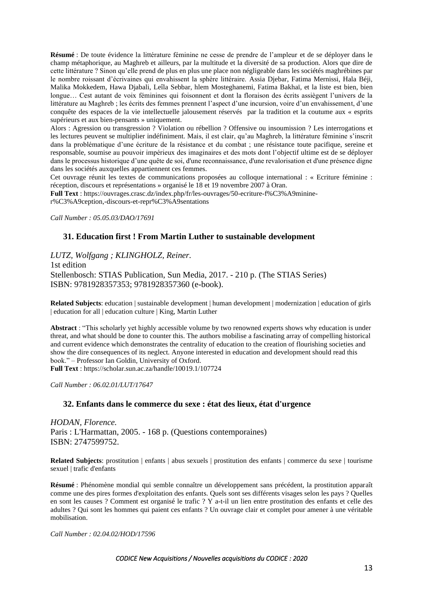**Résumé** : De toute évidence la littérature féminine ne cesse de prendre de l'ampleur et de se déployer dans le champ métaphorique, au Maghreb et ailleurs, par la multitude et la diversité de sa production. Alors que dire de cette littérature ? Sinon qu'elle prend de plus en plus une place non négligeable dans les sociétés maghrébines par le nombre roissant d'écrivaines qui envahissent la sphère littéraire. Assia Djebar, Fatima Mernissi, Hala Béji, Malika Mokkedem, Hawa Djabali, Leîla Sebbar, hlem Mosteghanemi, Fatima Bakhaï, et la liste est bien, bien longue… Cest autant de voix féminines qui foisonnent et dont la floraison des écrits assiègent l'univers de la littérature au Maghreb ; les écrits des femmes prennent l'aspect d'une incursion, voire d'un envahissement, d'une conquête des espaces de la vie intellectuelle jalousement réservés par la tradition et la coutume aux « esprits supérieurs et aux bien-pensants » uniquement.

Alors : Agression ou transgression ? Violation ou rébellion ? Offensive ou insoumission ? Les interrogations et les lectures peuvent se multiplier indéfiniment. Mais, il est clair, qu'au Maghreb, la littérature féminine s'inscrit dans la problématique d'une écriture de la résistance et du combat ; une résistance toute pacifique, sereine et responsable, soumise au pouvoir impérieux des imaginaires et des mots dont l'objectif ultime est de se déployer dans le processus historique d'une quête de soi, d'une reconnaissance, d'une revalorisation et d'une présence digne dans les sociétés auxquelles appartiennent ces femmes.

Cet ouvrage réunit les textes de communications proposées au colloque international : « Ecriture féminine : réception, discours et représentations » organisé le 18 et 19 novembre 2007 à Oran.

**Full Text** : [https://ouvrages.crasc.dz/index.php/fr/les-ouvrages/50-ecriture-f%C3%A9minine-](https://ouvrages.crasc.dz/index.php/fr/les-ouvrages/50-ecriture-f%C3%A9minine-r%C3%A9ception,-discours-et-repr%C3%A9sentations)

[r%C3%A9ception,-discours-et-repr%C3%A9sentations](https://ouvrages.crasc.dz/index.php/fr/les-ouvrages/50-ecriture-f%C3%A9minine-r%C3%A9ception,-discours-et-repr%C3%A9sentations)

*Call Number : 05.05.03/DAO/17691*

## **31. Education first ! From Martin Luther to sustainable development**

*LUTZ, Wolfgang ; KLINGHOLZ, Reiner.* 1st edition Stellenbosch: STIAS Publication, Sun Media, 2017. - 210 p. (The STIAS Series) ISBN: 9781928357353; 9781928357360 (e-book).

**Related Subjects**: education | sustainable development | human development | modernization | education of girls | education for all | education culture | King, Martin Luther

**Abstract** : "This scholarly yet highly accessible volume by two renowned experts shows why education is under threat, and what should be done to counter this. The authors mobilise a fascinating array of compelling historical and current evidence which demonstrates the centrality of education to the creation of flourishing societies and show the dire consequences of its neglect. Anyone interested in education and development should read this book." – Professor Ian Goldin, University of Oxford. **Full Text** :<https://scholar.sun.ac.za/handle/10019.1/107724>

*Call Number : 06.02.01/LUT/17647*

## **32. Enfants dans le commerce du sexe : état des lieux, état d'urgence**

*HODAN, Florence.* Paris : L'Harmattan, 2005. - 168 p. (Questions contemporaines) ISBN: 2747599752.

**Related Subjects**: prostitution | enfants | abus sexuels | prostitution des enfants | commerce du sexe | tourisme sexuel | trafic d'enfants

**Résumé** : Phénomène mondial qui semble connaître un développement sans précédent, la prostitution apparaît comme une des pires formes d'exploitation des enfants. Quels sont ses différents visages selon les pays ? Quelles en sont les causes ? Comment est organisé le trafic ? Y a-t-il un lien entre prostitution des enfants et celle des adultes ? Qui sont les hommes qui paient ces enfants ? Un ouvrage clair et complet pour amener à une véritable mobilisation.

*Call Number : 02.04.02/HOD/17596*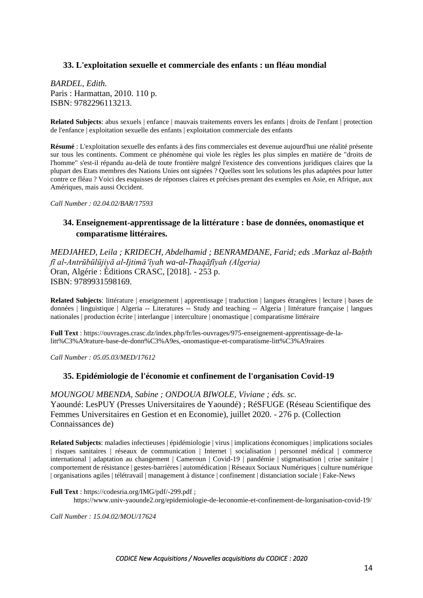### **33. L'exploitation sexuelle et commerciale des enfants : un fléau mondial**

*BARDEL, Edith.* Paris : Harmattan, 2010. 110 p. ISBN: 9782296113213.

**Related Subjects**: abus sexuels | enfance | mauvais traitements envers les enfants | droits de l'enfant | protection de l'enfance | exploitation sexuelle des enfants | exploitation commerciale des enfants

**Résumé** : L'exploitation sexuelle des enfants à des fins commerciales est devenue aujourd'hui une réalité présente sur tous les continents. Comment ce phénomène qui viole les règles les plus simples en matière de "droits de l'homme" s'est-il répandu au-delà de toute frontière malgré l'existence des conventions juridiques claires que la plupart des Etats membres des Nations Unies ont signées ? Quelles sont les solutions les plus adaptées pour lutter contre ce fléau ? Voici des esquisses de réponses claires et précises prenant des exemples en Asie, en Afrique, aux Amériques, mais aussi Occident.

*Call Number : 02.04.02/BAR/17593*

## **34. Enseignement-apprentissage de la littérature : base de données, onomastique et comparatisme littéraires.**

*MEDJAHED, Leila ; KRIDECH, Abdelhamid ; BENRAMDANE, Farid; eds .Markaz al-Baḥth fī al-Antrūbūlūjiyā al-Ijtimāʻīyah wa-al-Thaqāfīyah (Algeria)* Oran, Algérie : Éditions CRASC, [2018]. - 253 p. ISBN: 9789931598169.

**Related Subjects**: littérature | enseignement | apprentissage | traduction | langues étrangères | lecture | bases de données | linguistique | Algeria -- Literatures -- Study and teaching -- Algeria | littérature française | langues nationales | production écrite | interlangue | interculture | onomastique | comparatisme littéraire

**Full Text** : [https://ouvrages.crasc.dz/index.php/fr/les-ouvrages/975-enseignement-apprentissage-de-la](https://ouvrages.crasc.dz/index.php/fr/les-ouvrages/975-enseignement-apprentissage-de-la-litt%C3%A9rature-base-de-donn%C3%A9es,-onomastique-et-comparatisme-litt%C3%A9raires)[litt%C3%A9rature-base-de-donn%C3%A9es,-onomastique-et-comparatisme-litt%C3%A9raires](https://ouvrages.crasc.dz/index.php/fr/les-ouvrages/975-enseignement-apprentissage-de-la-litt%C3%A9rature-base-de-donn%C3%A9es,-onomastique-et-comparatisme-litt%C3%A9raires)

*Call Number : 05.05.03/MED/17612*

#### **35. Epidémiologie de l'économie et confinement de l'organisation Covid-19**

*MOUNGOU MBENDA, Sabine ; ONDOUA BIWOLE, Viviane ; éds. sc.* Yaoundé: LesPUY (Presses Universitaires de Yaoundé) ; RéSFUGE (Réseau Scientifique des Femmes Universitaires en Gestion et en Economie), juillet 2020. - 276 p. (Collection Connaissances de)

**Related Subjects**: maladies infectieuses | épidémiologie | virus | implications économiques | implications sociales | risques sanitaires | réseaux de communication | Internet | socialisation | personnel médical | commerce international | adaptation au changement | Cameroun | Covid-19 | pandémie | stigmatisation | crise sanitaire | comportement de résistance | gestes-barrières | automédication | Réseaux Sociaux Numériques | culture numérique | organisations agiles | télétravail | management à distance | confinement | distanciation sociale | Fake-News

**Full Text** : <https://codesria.org/IMG/pdf/-299.pdf> ;

https://www.univ-yaounde2.org/epidemiologie-de-leconomie-et-confinement-de-lorganisation-covid-19/

*Call Number : 15.04.02/MOU/17624*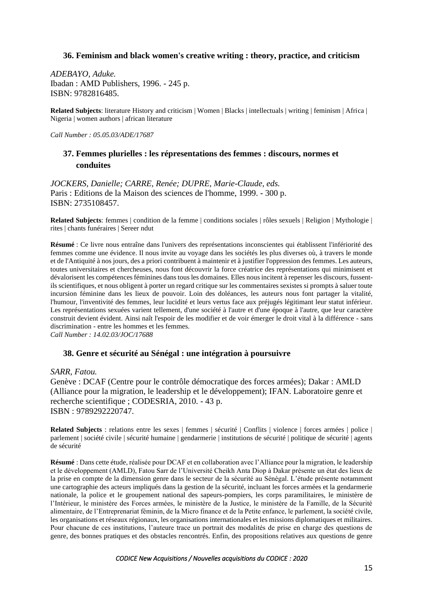### **36. Feminism and black women's creative writing : theory, practice, and criticism**

*ADEBAYO, Aduke.* Ibadan : AMD Publishers, 1996. - 245 p. ISBN: 9782816485.

**Related Subjects**: literature History and criticism | Women | Blacks | intellectuals | writing | feminism | Africa | Nigeria | women authors | african literature

*Call Number : 05.05.03/ADE/17687*

## **37. Femmes plurielles : les répresentations des femmes : discours, normes et conduites**

*JOCKERS, Danielle; CARRE, Renée; DUPRE, Marie-Claude, eds.* Paris : Editions de la Maison des sciences de l'homme, 1999. - 300 p. ISBN: 2735108457.

**Related Subjects**: femmes | condition de la femme | conditions sociales | rôles sexuels | Religion | Mythologie | rites | chants funéraires | Sereer ndut

**Résumé** : Ce livre nous entraîne dans l'univers des représentations inconscientes qui établissent l'infériorité des femmes comme une évidence. Il nous invite au voyage dans les sociétés les plus diverses où, à travers le monde et de l'Antiquité à nos jours, des a priori contribuent à maintenir et à justifier l'oppression des femmes. Les auteurs, toutes universitaires et chercheuses, nous font découvrir la force créatrice des représentations qui minimisent et dévalorisent les compétences féminines dans tous les domaines. Elles nous incitent à repenser les discours, fussentils scientifiques, et nous obligent à porter un regard critique sur les commentaires sexistes si prompts à saluer toute incursion féminine dans les lieux de pouvoir. Loin des doléances, les auteurs nous font partager la vitalité, l'humour, l'inventivité des femmes, leur lucidité et leurs vertus face aux préjugés légitimant leur statut inférieur. Les représentations sexuées varient tellement, d'une société à l'autre et d'une époque à l'autre, que leur caractère construit devient évident. Ainsi naît l'espoir de les modifier et de voir émerger le droit vital à la différence - sans discrimination - entre les hommes et les femmes. *Call Number : 14.02.03/JOC/17688*

## **38. Genre et sécurité au Sénégal : une intégration à poursuivre**

*SARR, Fatou.*

Genève : DCAF (Centre pour le contrôle démocratique des forces armées); Dakar : AMLD (Alliance pour la migration, le leadership et le développement); IFAN. Laboratoire genre et recherche scientifique ; CODESRIA, 2010. - 43 p. ISBN : 9789292220747.

**Related Subjects** : relations entre les sexes | femmes | sécurité | Conflits | violence | forces armées | police | parlement | société civile | sécurité humaine | gendarmerie | institutions de sécurité | politique de sécurité | agents de sécurité

**Résumé** : Dans cette étude, réalisée pour DCAF et en collaboration avec l'Alliance pour la migration, le leadership et le développement (AMLD), Fatou Sarr de l'Université Cheikh Anta Diop à Dakar présente un état des lieux de la prise en compte de la dimension genre dans le secteur de la sécurité au Sénégal. L'étude présente notamment une cartographie des acteurs impliqués dans la gestion de la sécurité, incluant les forces armées et la gendarmerie nationale, la police et le groupement national des sapeurs-pompiers, les corps paramilitaires, le ministère de l'Intérieur, le ministère des Forces armées, le ministère de la Justice, le ministère de la Famille, de la Sécurité alimentaire, de l'Entreprenariat féminin, de la Micro finance et de la Petite enfance, le parlement, la société civile, les organisations et réseaux régionaux, les organisations internationales et les missions diplomatiques et militaires. Pour chacune de ces institutions, l'auteure trace un portrait des modalités de prise en charge des questions de genre, des bonnes pratiques et des obstacles rencontrés. Enfin, des propositions relatives aux questions de genre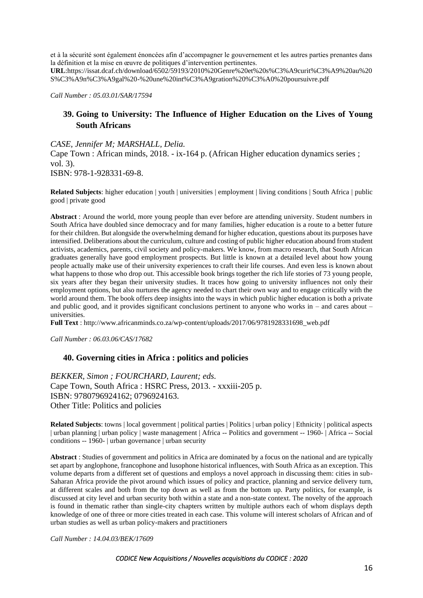et à la sécurité sont également énoncées afin d'accompagner le gouvernement et les autres parties prenantes dans la définition et la mise en œuvre de politiques d'intervention pertinentes.

**URL**[:https://issat.dcaf.ch/download/6502/59193/2010%20Genre%20et%20s%C3%A9curit%C3%A9%20au%20](https://issat.dcaf.ch/download/6502/59193/2010%20Genre%20et%20s%C3%A9curit%C3%A9%20au%20S%C3%A9n%C3%A9gal%20-%20une%20int%C3%A9gration%20%C3%A0%20poursuivre.pdf) [S%C3%A9n%C3%A9gal%20-%20une%20int%C3%A9gration%20%C3%A0%20poursuivre.pdf](https://issat.dcaf.ch/download/6502/59193/2010%20Genre%20et%20s%C3%A9curit%C3%A9%20au%20S%C3%A9n%C3%A9gal%20-%20une%20int%C3%A9gration%20%C3%A0%20poursuivre.pdf)

*Call Number : 05.03.01/SAR/17594*

## **39. Going to University: The Influence of Higher Education on the Lives of Young South Africans**

*CASE, Jennifer M; MARSHALL, Delia.*

Cape Town : African minds, 2018. - ix-164 p. (African Higher education dynamics series ; vol. 3).

ISBN: 978-1-928331-69-8.

**Related Subjects**: higher education | youth | universities | employment | living conditions | South Africa | public good | private good

**Abstract** : Around the world, more young people than ever before are attending university. Student numbers in South Africa have doubled since democracy and for many families, higher education is a route to a better future for their children. But alongside the overwhelming demand for higher education, questions about its purposes have intensified. Deliberations about the curriculum, culture and costing of public higher education abound from student activists, academics, parents, civil society and policy-makers. We know, from macro research, that South African graduates generally have good employment prospects. But little is known at a detailed level about how young people actually make use of their university experiences to craft their life courses. And even less is known about what happens to those who drop out. This accessible book brings together the rich life stories of 73 young people, six years after they began their university studies. It traces how going to university influences not only their employment options, but also nurtures the agency needed to chart their own way and to engage critically with the world around them. The book offers deep insights into the ways in which public higher education is both a private and public good, and it provides significant conclusions pertinent to anyone who works in – and cares about – universities.

**Full Text** : [http://www.africanminds.co.za/wp-content/uploads/2017/06/9781928331698\\_web.pdf](http://www.africanminds.co.za/wp-content/uploads/2017/06/9781928331698_web.pdf)

*Call Number : 06.03.06/CAS/17682*

#### **40. Governing cities in Africa : politics and policies**

*BEKKER, Simon ; FOURCHARD, Laurent; eds.* Cape Town, South Africa : HSRC Press, 2013. - xxxiii-205 p. ISBN: 9780796924162; 0796924163. Other Title: Politics and policies

**Related Subjects**: towns | local government | political parties | Politics | urban policy | Ethnicity | political aspects | urban planning | urban policy | waste management | Africa -- Politics and government -- 1960- | Africa -- Social conditions -- 1960- | urban governance | urban security

**Abstract** : Studies of government and politics in Africa are dominated by a focus on the national and are typically set apart by anglophone, francophone and lusophone historical influences, with South Africa as an exception. This volume departs from a different set of questions and employs a novel approach in discussing them: cities in sub-Saharan Africa provide the pivot around which issues of policy and practice, planning and service delivery turn, at different scales and both from the top down as well as from the bottom up. Party politics, for example, is discussed at city level and urban security both within a state and a non-state context. The novelty of the approach is found in thematic rather than single-city chapters written by multiple authors each of whom displays depth knowledge of one of three or more cities treated in each case. This volume will interest scholars of African and of urban studies as well as urban policy-makers and practitioners

*Call Number : 14.04.03/BEK/17609*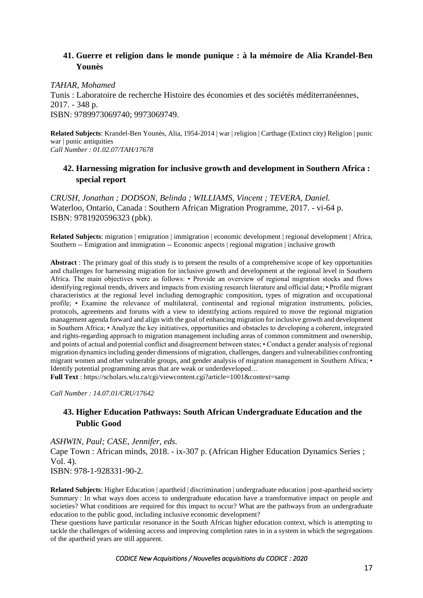# **41. Guerre et religion dans le monde punique : à la mémoire de Alia Krandel-Ben Younès**

*TAHAR, Mohamed* Tunis : Laboratoire de recherche Histoire des économies et des sociétés méditerranéennes, 2017. - 348 p. ISBN: 9789973069740; 9973069749.

**Related Subjects**: Krandel-Ben Younès, Alia, 1954-2014 | war | religion | Carthage (Extinct city) Religion | punic war | punic antiquities *Call Number : 01.02.07/TAH/17678*

## **42. Harnessing migration for inclusive growth and development in Southern Africa : special report**

*CRUSH, Jonathan ; DODSON, Belinda ; WILLIAMS, Vincent ; TEVERA, Daniel.* Waterloo, Ontario, Canada : Southern African Migration Programme, 2017. - vi-64 p. ISBN: 9781920596323 (pbk).

**Related Subjects**: migration | emigration | immigration | economic development | regional development | Africa, Southern -- Emigration and immigration -- Economic aspects | regional migration | inclusive growth

**Abstract** : The primary goal of this study is to present the results of a comprehensive scope of key opportunities and challenges for harnessing migration for inclusive growth and development at the regional level in Southern Africa. The main objectives were as follows: • Provide an overview of regional migration stocks and flows identifying regional trends, drivers and impacts from existing research literature and official data; • Profile migrant characteristics at the regional level including demographic composition, types of migration and occupational profile; • Examine the relevance of multilateral, continental and regional migration instruments, policies, protocols, agreements and forums with a view to identifying actions required to move the regional migration management agenda forward and align with the goal of enhancing migration for inclusive growth and development in Southern Africa; • Analyze the key initiatives, opportunities and obstacles to developing a coherent, integrated and rights-regarding approach to migration management including areas of common commitment and ownership, and points of actual and potential conflict and disagreement between states; • Conduct a gender analysis of regional migration dynamics including gender dimensions of migration, challenges, dangers and vulnerabilities confronting migrant women and other vulnerable groups, and gender analysis of migration management in Southern Africa; • Identify potential programming areas that are weak or underdeveloped…

**Full Text** :<https://scholars.wlu.ca/cgi/viewcontent.cgi?article=1001&context=samp>

*Call Number : 14.07.01/CRU/17642*

## **43. Higher Education Pathways: South African Undergraduate Education and the Public Good**

*ASHWIN, Paul; CASE, Jennifer, eds.*

Cape Town : African minds, 2018. - ix-307 p. (African Higher Education Dynamics Series ; Vol. 4).

ISBN: 978-1-928331-90-2.

**Related Subjects**: Higher Education | apartheid | discrimination | undergraduate education | post-apartheid society Summary : In what ways does access to undergraduate education have a transformative impact on people and societies? What conditions are required for this impact to occur? What are the pathways from an undergraduate education to the public good, including inclusive economic development?

These questions have particular resonance in the South African higher education context, which is attempting to tackle the challenges of widening access and improving completion rates in in a system in which the segregations of the apartheid years are still apparent.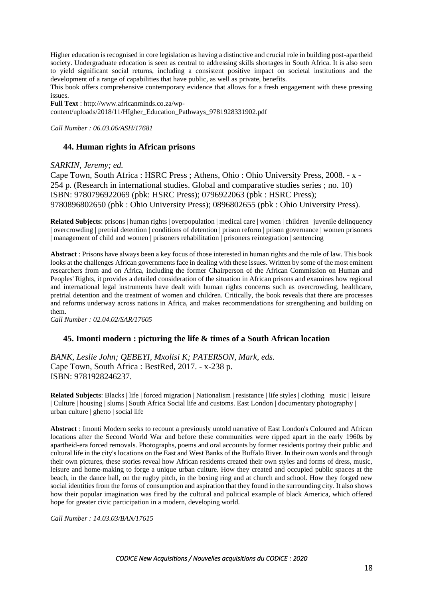Higher education is recognised in core legislation as having a distinctive and crucial role in building post-apartheid society. Undergraduate education is seen as central to addressing skills shortages in South Africa. It is also seen to yield significant social returns, including a consistent positive impact on societal institutions and the development of a range of capabilities that have public, as well as private, benefits.

This book offers comprehensive contemporary evidence that allows for a fresh engagement with these pressing issues.

**Full Text** : [http://www.africanminds.co.za/wp](http://www.africanminds.co.za/wp-content/uploads/2018/11/HIgher_Education_Pathways_9781928331902.pdf)[content/uploads/2018/11/HIgher\\_Education\\_Pathways\\_9781928331902.pdf](http://www.africanminds.co.za/wp-content/uploads/2018/11/HIgher_Education_Pathways_9781928331902.pdf)

*Call Number : 06.03.06/ASH/17681*

### **44. Human rights in African prisons**

#### *SARKIN, Jeremy; ed.*

Cape Town, South Africa : HSRC Press ; Athens, Ohio : Ohio University Press, 2008. - x - 254 p. (Research in international studies. Global and comparative studies series ; no. 10) ISBN: 9780796922069 (pbk: HSRC Press); 0796922063 (pbk : HSRC Press); 9780896802650 (pbk : Ohio University Press); 0896802655 (pbk : Ohio University Press).

**Related Subjects**: prisons | human rights | overpopulation | medical care | women | children | juvenile delinquency | overcrowding | pretrial detention | conditions of detention | prison reform | prison governance | women prisoners | management of child and women | prisoners rehabilitation | prisoners reintegration | sentencing

**Abstract** : Prisons have always been a key focus of those interested in human rights and the rule of law. This book looks at the challenges African governments face in dealing with these issues. Written by some of the most eminent researchers from and on Africa, including the former Chairperson of the African Commission on Human and Peoples' Rights, it provides a detailed consideration of the situation in African prisons and examines how regional and international legal instruments have dealt with human rights concerns such as overcrowding, healthcare, pretrial detention and the treatment of women and children. Critically, the book reveals that there are processes and reforms underway across nations in Africa, and makes recommendations for strengthening and building on them.

*Call Number : 02.04.02/SAR/17605*

### **45. Imonti modern : picturing the life & times of a South African location**

*BANK, Leslie John; QEBEYI, Mxolisi K; PATERSON, Mark, eds.* Cape Town, South Africa : BestRed, 2017. - x-238 p. ISBN: 9781928246237.

**Related Subjects**: Blacks | life | forced migration | Nationalism | resistance | life styles | clothing | music | leisure | Culture | housing | slums | South Africa Social life and customs. East London | documentary photography | urban culture | ghetto | social life

**Abstract** : Imonti Modern seeks to recount a previously untold narrative of East London's Coloured and African locations after the Second World War and before these communities were ripped apart in the early 1960s by apartheid-era forced removals. Photographs, poems and oral accounts by former residents portray their public and cultural life in the city's locations on the East and West Banks of the Buffalo River. In their own words and through their own pictures, these stories reveal how African residents created their own styles and forms of dress, music, leisure and home-making to forge a unique urban culture. How they created and occupied public spaces at the beach, in the dance hall, on the rugby pitch, in the boxing ring and at church and school. How they forged new social identities from the forms of consumption and aspiration that they found in the surrounding city. It also shows how their popular imagination was fired by the cultural and political example of black America, which offered hope for greater civic participation in a modern, developing world.

*Call Number : 14.03.03/BAN/17615*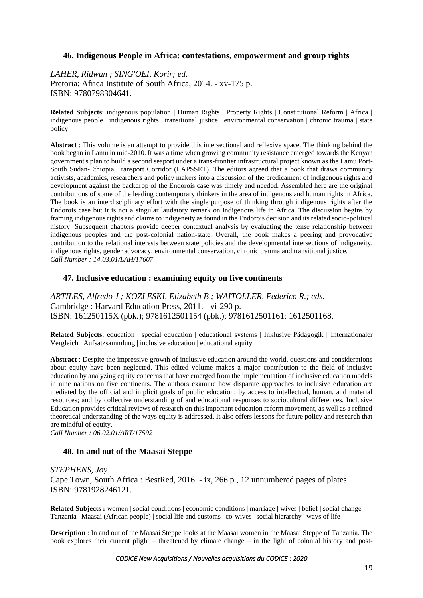### **46. Indigenous People in Africa: contestations, empowerment and group rights**

*LAHER, Ridwan ; SING'OEI, Korir; ed.* Pretoria: Africa Institute of South Africa, 2014. - xv-175 p. ISBN: 9780798304641.

**Related Subjects**: indigenous population | Human Rights | Property Rights | Constitutional Reform | Africa | indigenous people | indigenous rights | transitional justice | environmental conservation | chronic trauma | state policy

**Abstract** : This volume is an attempt to provide this intersectional and reflexive space. The thinking behind the book began in Lamu in mid-2010. It was a time when growing community resistance emerged towards the Kenyan government's plan to build a second seaport under a trans-frontier infrastructural project known as the Lamu Port-South Sudan-Ethiopia Transport Corridor (LAPSSET). The editors agreed that a book that draws community activists, academics, researchers and policy makers into a discussion of the predicament of indigenous rights and development against the backdrop of the Endorois case was timely and needed. Assembled here are the original contributions of some of the leading contemporary thinkers in the area of indigenous and human rights in Africa. The book is an interdisciplinary effort with the single purpose of thinking through indigenous rights after the Endorois case but it is not a singular laudatory remark on indigenous life in Africa. The discussion begins by framing indigenous rights and claims to indigeneity as found in the Endorois decision and its related socio-political history. Subsequent chapters provide deeper contextual analysis by evaluating the tense relationship between indigenous peoples and the post-colonial nation-state. Overall, the book makes a peering and provocative contribution to the relational interests between state policies and the developmental intersections of indigeneity, indigenous rights, gender advocacy, environmental conservation, chronic trauma and transitional justice. *Call Number : 14.03.01/LAH/17607*

#### **47. Inclusive education : examining equity on five continents**

*ARTILES, Alfredo J ; KOZLESKI, Elizabeth B ; WAITOLLER, Federico R.; eds.* Cambridge : Harvard Education Press, 2011. - vi-290 p. ISBN: 161250115X (pbk.); 9781612501154 (pbk.); 9781612501161; 1612501168.

**Related Subjects**: education | special education | educational systems | Inklusive Pädagogik | Internationaler Vergleich | Aufsatzsammlung | inclusive education | educational equity

**Abstract** : Despite the impressive growth of inclusive education around the world, questions and considerations about equity have been neglected. This edited volume makes a major contribution to the field of inclusive education by analyzing equity concerns that have emerged from the implementation of inclusive education models in nine nations on five continents. The authors examine how disparate approaches to inclusive education are mediated by the official and implicit goals of public education; by access to intellectual, human, and material resources; and by collective understanding of and educational responses to sociocultural differences. Inclusive Education provides critical reviews of research on this important education reform movement, as well as a refined theoretical understanding of the ways equity is addressed. It also offers lessons for future policy and research that are mindful of equity.

*Call Number : 06.02.01/ART/17592*

#### **48. In and out of the Maasai Steppe**

### *STEPHENS, Joy.* Cape Town, South Africa : BestRed, 2016. - ix, 266 p., 12 unnumbered pages of plates ISBN: 9781928246121.

**Related Subjects :** women | social conditions | economic conditions | marriage | wives | belief | social change | Tanzania | Maasai (African people) | social life and customs | co-wives | social hierarchy | ways of life

**Description** : In and out of the Maasai Steppe looks at the Maasai women in the Maasai Steppe of Tanzania. The book explores their current plight – threatened by climate change – in the light of colonial history and post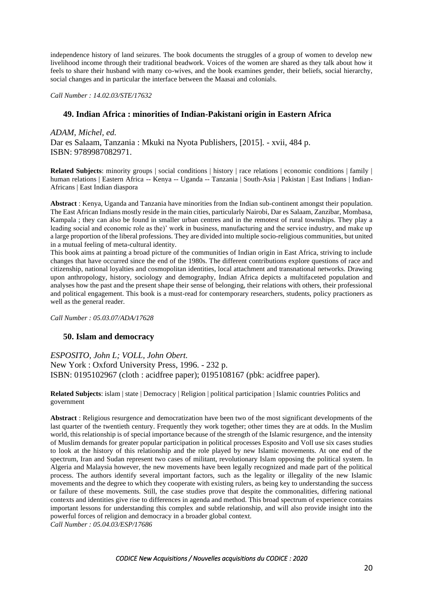independence history of land seizures. The book documents the struggles of a group of women to develop new livelihood income through their traditional beadwork. Voices of the women are shared as they talk about how it feels to share their husband with many co-wives, and the book examines gender, their beliefs, social hierarchy, social changes and in particular the interface between the Maasai and colonials.

*Call Number : 14.02.03/STE/17632*

### **49. Indian Africa : minorities of Indian-Pakistani origin in Eastern Africa**

*ADAM, Michel, ed.*

Dar es Salaam, Tanzania : Mkuki na Nyota Publishers, [2015]. - xvii, 484 p. ISBN: 9789987082971.

**Related Subjects**: minority groups | social conditions | history | race relations | economic conditions | family | human relations | Eastern Africa -- Kenya -- Uganda -- Tanzania | South-Asia | Pakistan | East Indians | Indian-Africans | East Indian diaspora

**Abstract** : Kenya, Uganda and Tanzania have minorities from the Indian sub-continent amongst their population. The East African Indians mostly reside in the main cities, particularly Nairobi, Dar es Salaam, Zanzibar, Mombasa, Kampala ; they can also be found in smaller urban centres and in the remotest of rural townships. They play a leading social and economic role as the)' work in business, manufacturing and the service industry, and make up a large proportion of the liberal professions. They are divided into multiple socio-religious communities, but united in a mutual feeling of meta-cultural identity.

This book aims at painting a broad picture of the communities of Indian origin in East Africa, striving to include changes that have occurred since the end of the 1980s. The different contributions explore questions of race and citizenship, national loyalties and cosmopolitan identities, local attachment and transnational networks. Drawing upon anthropology, history, sociology and demography, Indian Africa depicts a multifaceted population and analyses how the past and the present shape their sense of belonging, their relations with others, their professional and political engagement. This book is a must-read for contemporary researchers, students, policy practioners as well as the general reader.

*Call Number : 05.03.07/ADA/17628*

#### **50. Islam and democracy**

*ESPOSITO, John L; VOLL, John Obert.* New York : Oxford University Press, 1996. - 232 p. ISBN: 0195102967 (cloth : acidfree paper); 0195108167 (pbk: acidfree paper).

**Related Subjects**: islam | state | Democracy | Religion | political participation | Islamic countries Politics and government

**Abstract** : Religious resurgence and democratization have been two of the most significant developments of the last quarter of the twentieth century. Frequently they work together; other times they are at odds. In the Muslim world, this relationship is of special importance because of the strength of the Islamic resurgence, and the intensity of Muslim demands for greater popular participation in political processes Esposito and Voll use six cases studies to look at the history of this relationship and the role played by new Islamic movements. At one end of the spectrum, Iran and Sudan represent two cases of militant, revolutionary Islam opposing the political system. In Algeria and Malaysia however, the new movements have been legally recognized and made part of the political process. The authors identify several important factors, such as the legality or illegality of the new Islamic movements and the degree to which they cooperate with existing rulers, as being key to understanding the success or failure of these movements. Still, the case studies prove that despite the commonalities, differing national contexts and identities give rise to differences in agenda and method. This broad spectrum of experience contains important lessons for understanding this complex and subtle relationship, and will also provide insight into the powerful forces of religion and democracy in a broader global context.

*Call Number : 05.04.03/ESP/17686*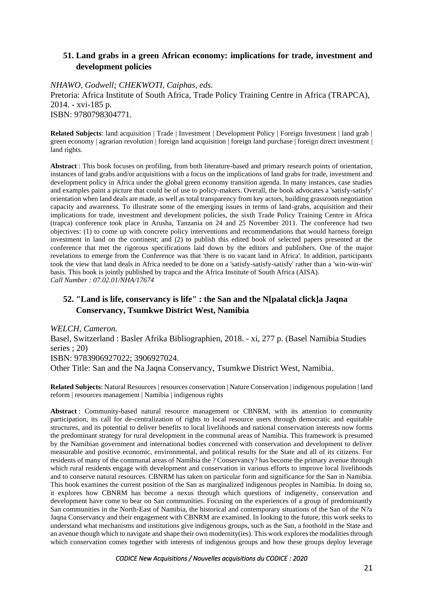## **51. Land grabs in a green African economy: implications for trade, investment and development policies**

### *NHAWO, Godwell; CHEKWOTI, Caiphas, eds.*

Pretoria: Africa Institute of South Africa, Trade Policy Training Centre in Africa (TRAPCA), 2014. - xvi-185 p. ISBN: 9780798304771.

**Related Subjects**: land acquisition | Trade | Investment | Development Policy | Foreign Investment | land grab | green economy | agrarian revolution | foreign land acquisition | foreign land purchase | foreign direct investment | land rights.

**Abstract** : This book focuses on profiling, from both literature-based and primary research points of orientation, instances of land grabs and/or acquisitions with a focus on the implications of land grabs for trade, investment and development policy in Africa under the global green economy transition agenda. In many instances, case studies and examples paint a picture that could be of use to policy-makers. Overall, the book advocates a 'satisfy-satisfy' orientation when land deals are made, as well as total transparency from key actors, building grassroots negotiation capacity and awareness. To illustrate some of the emerging issues in terms of land-grabs, acquisition and their implications for trade, investment and development policies, the sixth Trade Policy Training Centre in Africa (trapca) conference took place in Arusha, Tanzania on 24 and 25 November 2011. The conference had two objectives: (1) to come up with concrete policy interventions and recommendations that would harness foreign investment in land on the continent; and (2) to publish this edited book of selected papers presented at the conference that met the rigorous specifications laid down by the editors and publishers. One of the major revelations to emerge from the Conference was that 'there is no vacant land in Africa'. In addition, participants took the view that land deals in Africa needed to be done on a 'satisfy-satisfy-satisfy' rather than a 'win-win-win' basis. This book is jointly published by trapca and the Africa Institute of South Africa (AISA). *Call Number : 07.02.01/NHA/17674*

# **52. "Land is life, conservancy is life" : the San and the N[palatal click]a Jaqna Conservancy, Tsumkwe District West, Namibia**

*WELCH, Cameron.* Basel, Switzerland : Basler Afrika Bibliographien, 2018. - xi, 277 p. (Basel Namibia Studies series ; 20) ISBN: 9783906927022; 3906927024. Other Title: San and the Na Jaqna Conservancy, Tsumkwe District West, Namibia.

**Related Subjects**: Natural Resources | resources conservation | Nature Conservation | indigenous population | land reform | resources management | Namibia | indigenous rights

**Abstract** : Community-based natural resource management or CBNRM, with its attention to community participation, its call for de-centralization of rights to local resource users through democratic and equitable structures, and its potential to deliver benefits to local livelihoods and national conservation interests now forms the predominant strategy for rural development in the communal areas of Namibia. This framework is presumed by the Namibian government and international bodies concerned with conservation and development to deliver measurable and positive economic, environmental, and political results for the State and all of its citizens. For residents of many of the communal areas of Namibia the ? Conservancy? has become the primary avenue through which rural residents engage with development and conservation in various efforts to improve local livelihoods and to conserve natural resources. CBNRM has taken on particular form and significance for the San in Namibia. This book examines the current position of the San as marginalized indigenous peoples in Namibia. In doing so, it explores how CBNRM has become a nexus through which questions of indigeneity, conservation and development have come to bear on San communities. Focusing on the experiences of a group of predominantly San communities in the North-East of Namibia, the historical and contemporary situations of the San of the N?a Jaqna Conservancy and their engagement with CBNRM are examined. In looking to the future, this work seeks to understand what mechanisms and institutions give indigenous groups, such as the San, a foothold in the State and an avenue though which to navigate and shape their own modernity(ies). This work explores the modalities through which conservation comes together with interests of indigenous groups and how these groups deploy leverage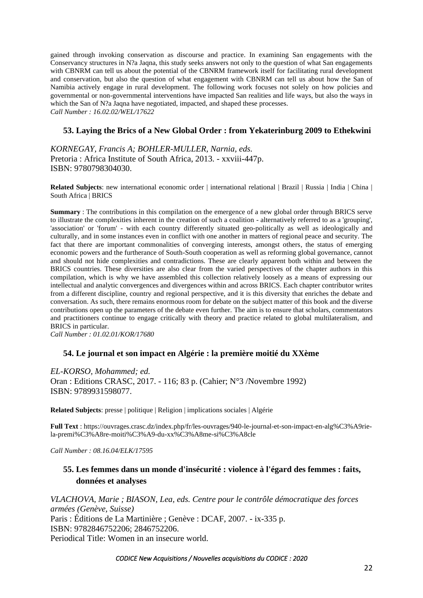gained through invoking conservation as discourse and practice. In examining San engagements with the Conservancy structures in N?a Jaqna, this study seeks answers not only to the question of what San engagements with CBNRM can tell us about the potential of the CBNRM framework itself for facilitating rural development and conservation, but also the question of what engagement with CBNRM can tell us about how the San of Namibia actively engage in rural development. The following work focuses not solely on how policies and governmental or non-governmental interventions have impacted San realities and life ways, but also the ways in which the San of N?a Jaqna have negotiated, impacted, and shaped these processes. *Call Number : 16.02.02/WEL/17622*

## **53. Laying the Brics of a New Global Order : from Yekaterinburg 2009 to Ethekwini**

*KORNEGAY, Francis A; BOHLER-MULLER, Narnia, eds.* Pretoria : Africa Institute of South Africa, 2013. - xxviii-447p. ISBN: 9780798304030.

**Related Subjects**: new international economic order | international relational | Brazil | Russia | India | China | South Africa | BRICS

**Summary** : The contributions in this compilation on the emergence of a new global order through BRICS serve to illustrate the complexities inherent in the creation of such a coalition - alternatively referred to as a 'grouping', 'association' or 'forum' - with each country differently situated geo-politically as well as ideologically and culturally, and in some instances even in conflict with one another in matters of regional peace and security. The fact that there are important commonalities of converging interests, amongst others, the status of emerging economic powers and the furtherance of South-South cooperation as well as reforming global governance, cannot and should not hide complexities and contradictions. These are clearly apparent both within and between the BRICS countries. These diversities are also clear from the varied perspectives of the chapter authors in this compilation, which is why we have assembled this collection relatively loosely as a means of expressing our intellectual and analytic convergences and divergences within and across BRICS. Each chapter contributor writes from a different discipline, country and regional perspective, and it is this diversity that enriches the debate and conversation. As such, there remains enormous room for debate on the subject matter of this book and the diverse contributions open up the parameters of the debate even further. The aim is to ensure that scholars, commentators and practitioners continue to engage critically with theory and practice related to global multilateralism, and BRICS in particular.

*Call Number : 01.02.01/KOR/17680*

### **54. Le journal et son impact en Algérie : la première moitié du XXème**

*EL-KORSO, Mohammed; ed.* Oran : Editions CRASC, 2017. - 116; 83 p. (Cahier; N°3 /Novembre 1992) ISBN: 9789931598077.

**Related Subjects**: presse | politique | Religion | implications sociales | Algérie

**Full Text** : [https://ouvrages.crasc.dz/index.php/fr/les-ouvrages/940-le-journal-et-son-impact-en-alg%C3%A9rie](https://ouvrages.crasc.dz/index.php/fr/les-ouvrages/940-le-journal-et-son-impact-en-alg%C3%A9rie-la-premi%C3%A8re-moiti%C3%A9-du-xx%C3%A8me-si%C3%A8cle)[la-premi%C3%A8re-moiti%C3%A9-du-xx%C3%A8me-si%C3%A8cle](https://ouvrages.crasc.dz/index.php/fr/les-ouvrages/940-le-journal-et-son-impact-en-alg%C3%A9rie-la-premi%C3%A8re-moiti%C3%A9-du-xx%C3%A8me-si%C3%A8cle)

*Call Number : 08.16.04/ELK/17595*

## **55. Les femmes dans un monde d'insécurité : violence à l'égard des femmes : faits, données et analyses**

*VLACHOVA, Marie ; BIASON, Lea, eds. Centre pour le contrôle démocratique des forces armées (Genève, Suisse)* Paris : Éditions de La Martinière ; Genève : DCAF, 2007. - ix-335 p. ISBN: 9782846752206; 2846752206. Periodical Title: Women in an insecure world.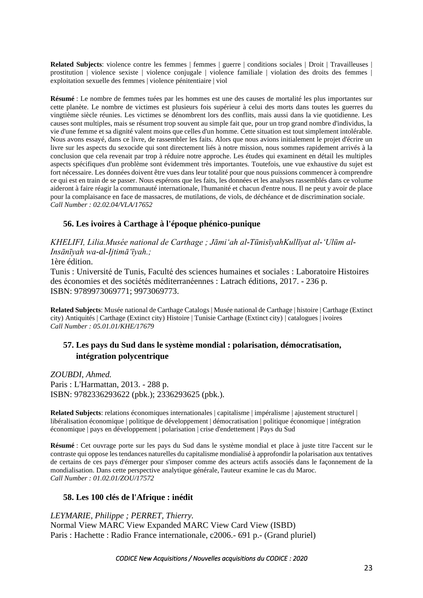**Related Subjects**: violence contre les femmes | femmes | guerre | conditions sociales | Droit | Travailleuses | prostitution | violence sexiste | violence conjugale | violence familiale | violation des droits des femmes | exploitation sexuelle des femmes | violence pénitentiaire | viol

**Résumé** : Le nombre de femmes tuées par les hommes est une des causes de mortalité les plus importantes sur cette planète. Le nombre de victimes est plusieurs fois supérieur à celui des morts dans toutes les guerres du vingtième siècle réunies. Les victimes se dénombrent lors des conflits, mais aussi dans la vie quotidienne. Les causes sont multiples, mais se résument trop souvent au simple fait que, pour un trop grand nombre d'individus, la vie d'une femme et sa dignité valent moins que celles d'un homme. Cette situation est tout simplement intolérable. Nous avons essayé, dans ce livre, de rassembler les faits. Alors que nous avions initialement le projet d'écrire un livre sur les aspects du sexocide qui sont directement liés à notre mission, nous sommes rapidement arrivés à la conclusion que cela revenait par trop à réduire notre approche. Les études qui examinent en détail les multiples aspects spécifiques d'un problème sont évidemment très importantes. Toutefois, une vue exhaustive du sujet est fort nécessaire. Les données doivent être vues dans leur totalité pour que nous puissions commencer à comprendre ce qui est en train de se passer. Nous espérons que les faits, les données et les analyses rassemblés dans ce volume aideront à faire réagir la communauté internationale, l'humanité et chacun d'entre nous. Il ne peut y avoir de place pour la complaisance en face de massacres, de mutilations, de viols, de déchéance et de discrimination sociale. *Call Number : 02.02.04/VLA/17652*

## **56. Les ivoires à Carthage à l'époque phénico-punique**

*KHELIFI, Lilia.Musée national de Carthage ; Jāmiʻah al-TūnisīyahKullīyat al-ʻUlūm al-Insānīyah wa-al-Ijtimāʻīyah.;*

1ère édition.

Tunis : Université de Tunis, Faculté des sciences humaines et sociales : Laboratoire Histoires des économies et des sociétés méditerranéennes : Latrach éditions, 2017. - 236 p. ISBN: 9789973069771; 9973069773.

**Related Subjects**: Musée national de Carthage Catalogs | Musée national de Carthage | histoire | Carthage (Extinct city) Antiquités | Carthage (Extinct city) Histoire | Tunisie Carthage (Extinct city) | catalogues | ivoires *Call Number : 05.01.01/KHE/17679*

# **57. Les pays du Sud dans le système mondial : polarisation, démocratisation, intégration polycentrique**

*ZOUBDI, Ahmed.* Paris : L'Harmattan, 2013. - 288 p. ISBN: 9782336293622 (pbk.); 2336293625 (pbk.).

**Related Subjects**: relations économiques internationales | capitalisme | impéralisme | ajustement structurel | libéralisation économique | politique de développement | démocratisation | politique économique | intégration économique | pays en développement | polarisation | crise d'endettement | Pays du Sud

**Résumé** : Cet ouvrage porte sur les pays du Sud dans le système mondial et place à juste titre l'accent sur le contraste qui oppose les tendances naturelles du capitalisme mondialisé à approfondir la polarisation aux tentatives de certains de ces pays d'émerger pour s'imposer comme des acteurs actifs associés dans le façonnement de la mondialisation. Dans cette perspective analytique générale, l'auteur examine le cas du Maroc. *Call Number : 01.02.01/ZOU/17572*

### **58. Les 100 clés de l'Afrique : inédit**

*LEYMARIE, Philippe ; PERRET, Thierry.* Normal View MARC View Expanded MARC View Card View (ISBD) Paris : Hachette : Radio France internationale, c2006.- 691 p.- (Grand pluriel)

*CODICE New Acquisitions / Nouvelles acquisitions du CODICE : 2020*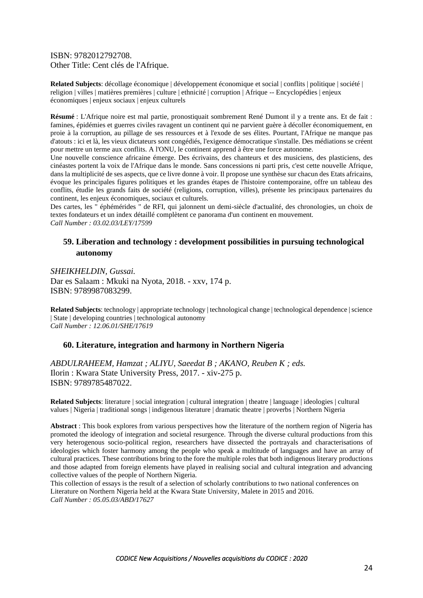ISBN: 9782012792708. Other Title: Cent clés de l'Afrique.

**Related Subjects**: décollage économique | développement économique et social | conflits | politique | société | religion | villes | matières premières | culture | ethnicité | corruption | Afrique -- Encyclopédies | enjeux économiques | enjeux sociaux | enjeux culturels

**Résumé** : L'Afrique noire est mal partie, pronostiquait sombrement René Dumont il y a trente ans. Et de fait : famines, épidémies et guerres civiles ravagent un continent qui ne parvient guère à décoller économiquement, en proie à la corruption, au pillage de ses ressources et à l'exode de ses élites. Pourtant, l'Afrique ne manque pas d'atouts : ici et là, les vieux dictateurs sont congédiés, l'exigence démocratique s'installe. Des médiations se créent pour mettre un terme aux conflits. A l'ONU, le continent apprend à être une force autonome.

Une nouvelle conscience africaine émerge. Des écrivains, des chanteurs et des musiciens, des plasticiens, des cinéastes portent la voix de l'Afrique dans le monde. Sans concessions ni parti pris, c'est cette nouvelle Afrique, dans la multiplicité de ses aspects, que ce livre donne à voir. Il propose une synthèse sur chacun des Etats africains, évoque les principales figures politiques et les grandes étapes de l'histoire contemporaine, offre un tableau des conflits, étudie les grands faits de société (religions, corruption, villes), présente les principaux partenaires du continent, les enjeux économiques, sociaux et culturels.

Des cartes, les " éphémérides " de RFI, qui jalonnent un demi-siècle d'actualité, des chronologies, un choix de textes fondateurs et un index détaillé complètent ce panorama d'un continent en mouvement. *Call Number : 03.02.03/LEY/17599*

## **59. Liberation and technology : development possibilities in pursuing technological autonomy**

*SHEIKHELDIN, Gussai.* Dar es Salaam : Mkuki na Nyota, 2018. - xxv, 174 p. ISBN: 9789987083299.

**Related Subjects**: technology | appropriate technology | technological change | technological dependence | science | State | developing countries | technological autonomy *Call Number : 12.06.01/SHE/17619*

### **60. Literature, integration and harmony in Northern Nigeria**

*ABDULRAHEEM, Hamzat ; ALIYU, Saeedat B ; AKANO, Reuben K ; eds.* Ilorin : Kwara State University Press, 2017. - xiv-275 p. ISBN: 9789785487022.

**Related Subjects**: literature | social integration | cultural integration | theatre | language | ideologies | cultural values | Nigeria | traditional songs | indigenous literature | dramatic theatre | proverbs | Northern Nigeria

**Abstract** : This book explores from various perspectives how the literature of the northern region of Nigeria has promoted the ideology of integration and societal resurgence. Through the diverse cultural productions from this very heterogenous socio-political region, researchers have dissected the portrayals and characterisations of ideologies which foster harmony among the people who speak a multitude of languages and have an array of cultural practices. These contributions bring to the fore the multiple roles that both indigenous literary productions and those adapted from foreign elements have played in realising social and cultural integration and advancing collective values of the people of Northern Nigeria.

This collection of essays is the result of a selection of scholarly contributions to two national conferences on Literature on Northern Nigeria held at the Kwara State University, Malete in 2015 and 2016. *Call Number : 05.05.03/ABD/17627*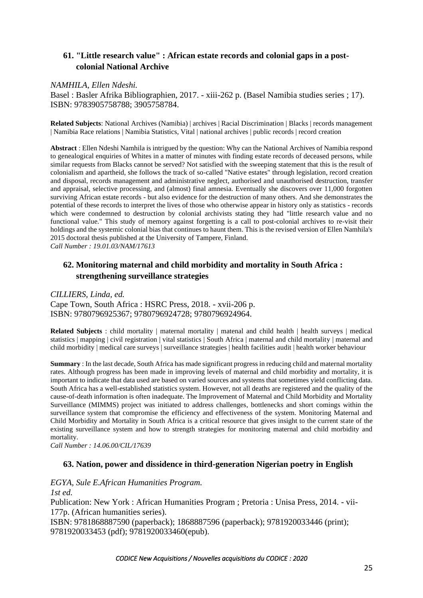# **61. "Little research value" : African estate records and colonial gaps in a postcolonial National Archive**

### *NAMHILA, Ellen Ndeshi.*

Basel : Basler Afrika Bibliographien, 2017. - xiii-262 p. (Basel Namibia studies series ; 17). ISBN: 9783905758788; 3905758784.

**Related Subjects**: National Archives (Namibia) | archives | Racial Discrimination | Blacks | records management | Namibia Race relations | Namibia Statistics, Vital | national archives | public records | record creation

**Abstract** : Ellen Ndeshi Namhila is intrigued by the question: Why can the National Archives of Namibia respond to genealogical enquiries of Whites in a matter of minutes with finding estate records of deceased persons, while similar requests from Blacks cannot be served? Not satisfied with the sweeping statement that this is the result of colonialism and apartheid, she follows the track of so-called "Native estates" through legislation, record creation and disposal, records management and administrative neglect, authorised and unauthorised destruction, transfer and appraisal, selective processing, and (almost) final amnesia. Eventually she discovers over 11,000 forgotten surviving African estate records - but also evidence for the destruction of many others. And she demonstrates the potential of these records to interpret the lives of those who otherwise appear in history only as statistics - records which were condemned to destruction by colonial archivists stating they had "little research value and no functional value." This study of memory against forgetting is a call to post-colonial archives to re-visit their holdings and the systemic colonial bias that continues to haunt them. This is the revised version of Ellen Namhila's 2015 doctoral thesis published at the University of Tampere, Finland. *Call Number : 19.01.03/NAM/17613*

## **62. Monitoring maternal and child morbidity and mortality in South Africa : strengthening surveillance strategies**

*CILLIERS, Linda, ed.* Cape Town, South Africa : HSRC Press, 2018. - xvii-206 p. ISBN: 9780796925367; 9780796924728; 9780796924964.

**Related Subjects** : child mortality | maternal mortality | matenal and child health | health surveys | medical statistics | mapping | civil registration | vital statistics | South Africa | maternal and child mortality | maternal and child morbidity | medical care surveys | surveillance strategies | health facilities audit | health worker behaviour

**Summary** : In the last decade, South Africa has made significant progress in reducing child and maternal mortality rates. Although progress has been made in improving levels of maternal and child morbidity and mortality, it is important to indicate that data used are based on varied sources and systems that sometimes yield conflicting data. South Africa has a well-established statistics system. However, not all deaths are registered and the quality of the cause-of-death information is often inadequate. The Improvement of Maternal and Child Morbidity and Mortality Surveillance (MIMMS) project was initiated to address challenges, bottlenecks and short comings within the surveillance system that compromise the efficiency and effectiveness of the system. Monitoring Maternal and Child Morbidity and Mortality in South Africa is a critical resource that gives insight to the current state of the existing surveillance system and how to strength strategies for monitoring maternal and child morbidity and mortality.

*Call Number : 14.06.00/CIL/17639*

### **63. Nation, power and dissidence in third-generation Nigerian poetry in English**

*EGYA, Sule E.African Humanities Program.*

*1st ed.*

Publication: New York : African Humanities Program ; Pretoria : Unisa Press, 2014. - vii-177p. (African humanities series).

ISBN: 9781868887590 (paperback); 1868887596 (paperback); 9781920033446 (print); 9781920033453 (pdf); 9781920033460(epub).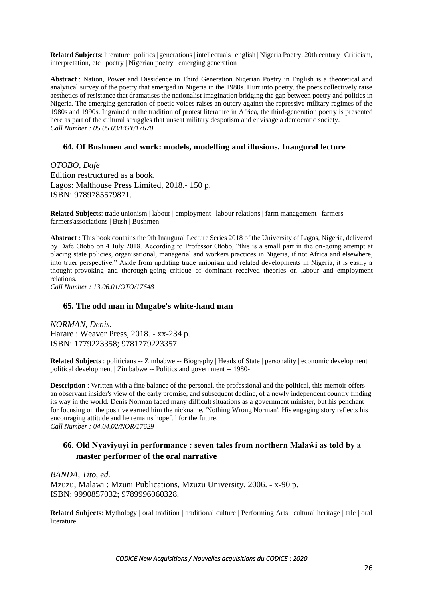**Related Subjects**: literature | politics | generations | intellectuals | english | Nigeria Poetry. 20th century | Criticism, interpretation, etc | poetry | Nigerian poetry | emerging generation

**Abstract** : Nation, Power and Dissidence in Third Generation Nigerian Poetry in English is a theoretical and analytical survey of the poetry that emerged in Nigeria in the 1980s. Hurt into poetry, the poets collectively raise aesthetics of resistance that dramatises the nationalist imagination bridging the gap between poetry and politics in Nigeria. The emerging generation of poetic voices raises an outcry against the repressive military regimes of the 1980s and 1990s. Ingrained in the tradition of protest literature in Africa, the third-generation poetry is presented here as part of the cultural struggles that unseat military despotism and envisage a democratic society. *Call Number : 05.05.03/EGY/17670*

#### **64. Of Bushmen and work: models, modelling and illusions. Inaugural lecture**

*OTOBO, Dafe* Edition restructured as a book. Lagos: Malthouse Press Limited, 2018.- 150 p. ISBN: 9789785579871.

**Related Subjects**: trade unionism | labour | employment | labour relations | farm management | farmers | farmers'associations | Bush | Bushmen

**Abstract** : This book contains the 9th Inaugural Lecture Series 2018 of the University of Lagos, Nigeria, delivered by Dafe Otobo on 4 July 2018. According to Professor Otobo, "this is a small part in the on-going attempt at placing state policies, organisational, managerial and workers practices in Nigeria, if not Africa and elsewhere, into truer perspective." Aside from updating trade unionism and related developments in Nigeria, it is easily a thought-provoking and thorough-going critique of dominant received theories on labour and employment relations.

*Call Number : 13.06.01/OTO/17648*

#### **65. The odd man in Mugabe's white-hand man**

*NORMAN, Denis.* Harare : Weaver Press, 2018. - xx-234 p. ISBN: 1779223358; 9781779223357

**Related Subjects** : politicians -- Zimbabwe -- Biography | Heads of State | personality | economic development | political development | Zimbabwe -- Politics and government -- 1980-

**Description** : Written with a fine balance of the personal, the professional and the political, this memoir offers an observant insider's view of the early promise, and subsequent decline, of a newly independent country finding its way in the world. Denis Norman faced many difficult situations as a government minister, but his penchant for focusing on the positive earned him the nickname, 'Nothing Wrong Norman'. His engaging story reflects his encouraging attitude and he remains hopeful for the future.

*Call Number : 04.04.02/NOR/17629*

## **66. Old Nyaviyuyi in performance : seven tales from northern Malaŵi as told by a master performer of the oral narrative**

*BANDA, Tito, ed.* Mzuzu, Malawi : Mzuni Publications, Mzuzu University, 2006. - x-90 p. ISBN: 9990857032; 9789996060328.

**Related Subjects**: Mythology | oral tradition | traditional culture | Performing Arts | cultural heritage | tale | oral literature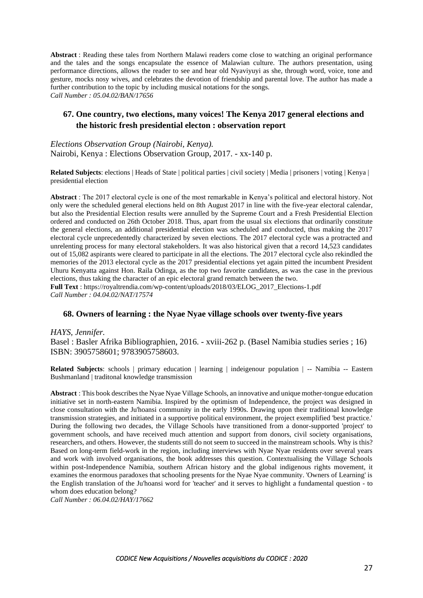**Abstract** : Reading these tales from Northern Malawi readers come close to watching an original performance and the tales and the songs encapsulate the essence of Malawian culture. The authors presentation, using performance directions, allows the reader to see and hear old Nyaviyuyi as she, through word, voice, tone and gesture, mocks nosy wives, and celebrates the devotion of friendship and parental love. The author has made a further contribution to the topic by including musical notations for the songs. *Call Number : 05.04.02/BAN/17656*

## **67. One country, two elections, many voices! The Kenya 2017 general elections and the historic fresh presidential electon : observation report**

*Elections Observation Group (Nairobi, Kenya).* Nairobi, Kenya : Elections Observation Group, 2017. - xx-140 p.

**Related Subjects**: elections | Heads of State | political parties | civil society | Media | prisoners | voting | Kenya | presidential election

**Abstract** : The 2017 electoral cycle is one of the most remarkable in Kenya's political and electoral history. Not only were the scheduled general elections held on 8th August 2017 in line with the five-year electoral calendar, but also the Presidential Election results were annulled by the Supreme Court and a Fresh Presidential Election ordered and conducted on 26th October 2018. Thus, apart from the usual six elections that ordinarily constitute the general elections, an additional presidential election was scheduled and conducted, thus making the 2017 electoral cycle unprecedentedly characterized by seven elections. The 2017 electoral cycle was a protracted and unrelenting process for many electoral stakeholders. It was also historical given that a record 14,523 candidates out of 15,082 aspirants were cleared to participate in all the elections. The 2017 electoral cycle also rekindled the memories of the 2013 electoral cycle as the 2017 presidential elections yet again pitted the incumbent President Uhuru Kenyatta against Hon. Raila Odinga, as the top two favorite candidates, as was the case in the previous elections, thus taking the character of an epic electoral grand rematch between the two. **Full Text** : [https://royaltrendia.com/wp-content/uploads/2018/03/ELOG\\_2017\\_Elections-1.pdf](https://royaltrendia.com/wp-content/uploads/2018/03/ELOG_2017_Elections-1.pdf) *Call Number : 04.04.02/NAT/17574*

### **68. Owners of learning : the Nyae Nyae village schools over twenty-five years**

*HAYS, Jennifer.*

Basel : Basler Afrika Bibliographien, 2016. - xviii-262 p. (Basel Namibia studies series ; 16) ISBN: 3905758601; 9783905758603.

**Related Subjects**: schools | primary education | learning | indeigenour population | -- Namibia -- Eastern Bushmanland | traditonal knowledge transmission

**Abstract** : This book describes the Nyae Nyae Village Schools, an innovative and unique mother-tongue education initiative set in north-eastern Namibia. Inspired by the optimism of Independence, the project was designed in close consultation with the Ju'hoansi community in the early 1990s. Drawing upon their traditional knowledge transmission strategies, and initiated in a supportive political environment, the project exemplified 'best practice.' During the following two decades, the Village Schools have transitioned from a donor-supported 'project' to government schools, and have received much attention and support from donors, civil society organisations, researchers, and others. However, the students still do not seem to succeed in the mainstream schools. Why is this? Based on long-term field-work in the region, including interviews with Nyae Nyae residents over several years and work with involved organisations, the book addresses this question. Contextualising the Village Schools within post-Independence Namibia, southern African history and the global indigenous rights movement, it examines the enormous paradoxes that schooling presents for the Nyae Nyae community. 'Owners of Learning' is the English translation of the Ju'hoansi word for 'teacher' and it serves to highlight a fundamental question - to whom does education belong?

*Call Number : 06.04.02/HAY/17662*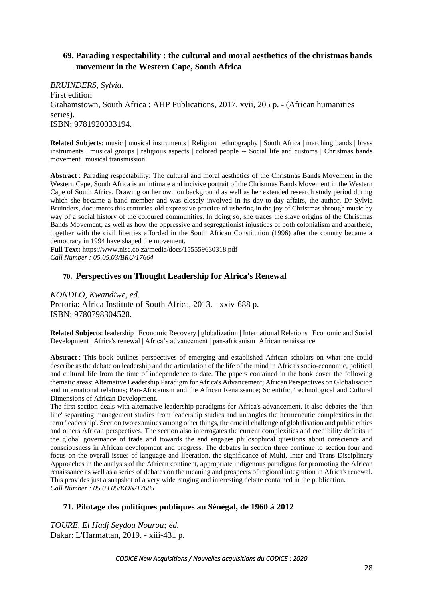# **69. Parading respectability : the cultural and moral aesthetics of the christmas bands movement in the Western Cape, South Africa**

*BRUINDERS, Sylvia.* First edition Grahamstown, South Africa : AHP Publications, 2017. xvii, 205 p. - (African humanities series). ISBN: 9781920033194.

**Related Subjects**: music | musical instruments | Religion | ethnography | South Africa | marching bands | brass instruments | musical groups | religious aspects | colored people -- Social life and customs | Christmas bands movement | musical transmission

**Abstract** : Parading respectability: The cultural and moral aesthetics of the Christmas Bands Movement in the Western Cape, South Africa is an intimate and incisive portrait of the Christmas Bands Movement in the Western Cape of South Africa. Drawing on her own on background as well as her extended research study period during which she became a band member and was closely involved in its day-to-day affairs, the author, Dr Sylvia Bruinders, documents this centuries-old expressive practice of ushering in the joy of Christmas through music by way of a social history of the coloured communities. In doing so, she traces the slave origins of the Christmas Bands Movement, as well as how the oppressive and segregationist injustices of both colonialism and apartheid, together with the civil liberties afforded in the South African Constitution (1996) after the country became a democracy in 1994 have shaped the movement.

**Full Text:** <https://www.nisc.co.za/media/docs/155559630318.pdf> *Call Number : 05.05.03/BRU/17664*

### **70. Perspectives on Thought Leadership for Africa's Renewal**

*KONDLO, Kwandiwe, ed.* Pretoria: Africa Institute of South Africa, 2013. - xxiv-688 p. ISBN: 9780798304528.

**Related Subjects**: leadership | Economic Recovery | globalization | International Relations | Economic and Social Development | Africa's renewal | Africa's advancement | pan-africanism African renaissance

**Abstract** : This book outlines perspectives of emerging and established African scholars on what one could describe as the debate on leadership and the articulation of the life of the mind in Africa's socio-economic, political and cultural life from the time of independence to date. The papers contained in the book cover the following thematic areas: Alternative Leadership Paradigm for Africa's Advancement; African Perspectives on Globalisation and international relations; Pan-Africanism and the African Renaissance; Scientific, Technological and Cultural Dimensions of African Development.

The first section deals with alternative leadership paradigms for Africa's advancement. It also debates the 'thin line' separating management studies from leadership studies and untangles the hermeneutic complexities in the term 'leadership'. Section two examines among other things, the crucial challenge of globalisation and public ethics and others African perspectives. The section also interrogates the current complexities and credibility deficits in the global governance of trade and towards the end engages philosophical questions about conscience and consciousness in African development and progress. The debates in section three continue to section four and focus on the overall issues of language and liberation, the significance of Multi, Inter and Trans-Disciplinary Approaches in the analysis of the African continent, appropriate indigenous paradigms for promoting the African renaissance as well as a series of debates on the meaning and prospects of regional integration in Africa's renewal. This provides just a snapshot of a very wide ranging and interesting debate contained in the publication. *Call Number : 05.03.05/KON/17685*

### **71. Pilotage des politiques publiques au Sénégal, de 1960 à 2012**

*TOURE, El Hadj Seydou Nourou; éd.* Dakar: L'Harmattan, 2019. - xiii-431 p.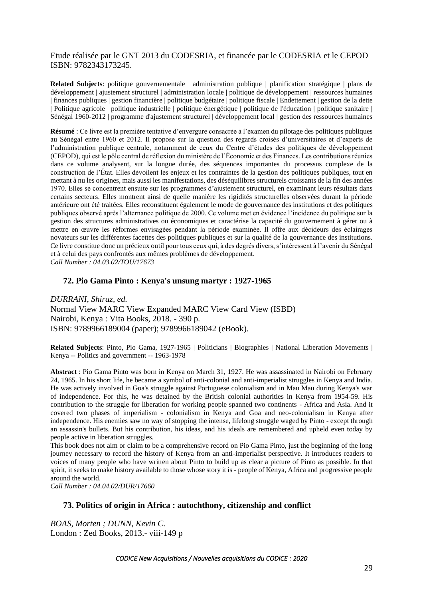Etude réalisée par le GNT 2013 du CODESRIA, et financée par le CODESRIA et le CEPOD ISBN: 9782343173245.

**Related Subjects**: politique gouvernementale | administration publique | planification stratégique | plans de développement | ajustement structurel | administration locale | politique de développement | ressources humaines | finances publiques | gestion financière | politique budgétaire | politique fiscale | Endettement | gestion de la dette | Politique agricole | politique industrielle | politique énergétique | politique de l'éducation | politique sanitaire | Sénégal 1960-2012 | programme d'ajustement structurel | développement local | gestion des ressources humaines

**Résumé** : Ce livre est la première tentative d'envergure consacrée à l'examen du pilotage des politiques publiques au Sénégal entre 1960 et 2012. Il propose sur la question des regards croisés d'universitaires et d'experts de l'administration publique centrale, notamment de ceux du Centre d'études des politiques de développement (CEPOD), qui est le pôle central de réflexion du ministère de l'Économie et des Finances. Les contributions réunies dans ce volume analysent, sur la longue durée, des séquences importantes du processus complexe de la construction de l'État. Elles dévoilent les enjeux et les contraintes de la gestion des politiques publiques, tout en mettant à nu les origines, mais aussi les manifestations, des déséquilibres structurels croissants de la fin des années 1970. Elles se concentrent ensuite sur les programmes d'ajustement structurel, en examinant leurs résultats dans certains secteurs. Elles montrent ainsi de quelle manière les rigidités structurelles observées durant la période antérieure ont été traitées. Elles reconstituent également le mode de gouvernance des institutions et des politiques publiques observé après l'alternance politique de 2000. Ce volume met en évidence l'incidence du politique sur la gestion des structures administratives ou économiques et caractérise la capacité du gouvernement à gérer ou à mettre en œuvre les réformes envisagées pendant la période examinée. Il offre aux décideurs des éclairages novateurs sur les différentes facettes des politiques publiques et sur la qualité de la gouvernance des institutions. Ce livre constitue donc un précieux outil pour tous ceux qui, à des degrés divers, s'intéressent à l'avenir du Sénégal et à celui des pays confrontés aux mêmes problèmes de développement. *Call Number : 04.03.02/TOU/17673*

#### **72. Pio Gama Pinto : Kenya's unsung martyr : 1927-1965**

*DURRANI, Shiraz, ed.* Normal View MARC View Expanded MARC View Card View (ISBD) Nairobi, Kenya : Vita Books, 2018. - 390 p. ISBN: 9789966189004 (paper); 9789966189042 (eBook).

**Related Subjects**: Pinto, Pio Gama, 1927-1965 | Politicians | Biographies | National Liberation Movements | Kenya -- Politics and government -- 1963-1978

**Abstract** : Pio Gama Pinto was born in Kenya on March 31, 1927. He was assassinated in Nairobi on February 24, 1965. In his short life, he became a symbol of anti-colonial and anti-imperialist struggles in Kenya and India. He was actively involved in Goa's struggle against Portuguese colonialism and in Mau Mau during Kenya's war of independence. For this, he was detained by the British colonial authorities in Kenya from 1954-59. His contribution to the struggle for liberation for working people spanned two continents - Africa and Asia. And it covered two phases of imperialism - colonialism in Kenya and Goa and neo-colonialism in Kenya after independence. His enemies saw no way of stopping the intense, lifelong struggle waged by Pinto - except through an assassin's bullets. But his contribution, his ideas, and his ideals are remembered and upheld even today by people active in liberation struggles.

This book does not aim or claim to be a comprehensive record on Pio Gama Pinto, just the beginning of the long journey necessary to record the history of Kenya from an anti-imperialist perspective. It introduces readers to voices of many people who have written about Pinto to build up as clear a picture of Pinto as possible. In that spirit, it seeks to make history available to those whose story it is - people of Kenya, Africa and progressive people around the world.

*Call Number : 04.04.02/DUR/17660*

#### **73. Politics of origin in Africa : autochthony, citizenship and conflict**

*BOAS, Morten ; DUNN, Kevin C.* London : Zed Books, 2013.- viii-149 p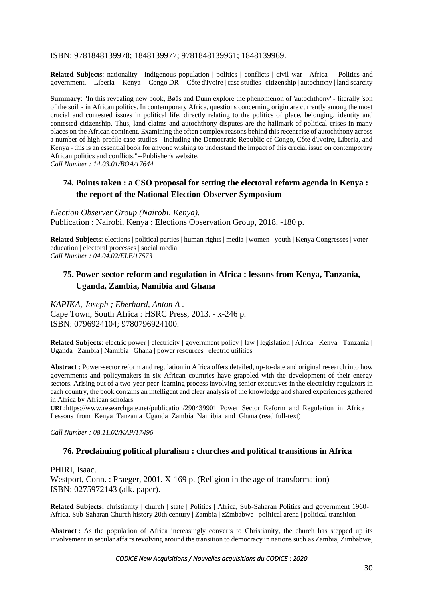### ISBN: 9781848139978; 1848139977; 9781848139961; 1848139969.

**Related Subjects**: nationality | indigenous population | politics | conflicts | civil war | Africa -- Politics and government. -- Liberia -- Kenya -- Congo DR -- Côte d'Ivoire | case studies | citizenship | autochtony | land scarcity

**Summary**: "In this revealing new book, Bøås and Dunn explore the phenomenon of 'autochthony' - literally 'son of the soil' - in African politics. In contemporary Africa, questions concerning origin are currently among the most crucial and contested issues in political life, directly relating to the politics of place, belonging, identity and contested citizenship. Thus, land claims and autochthony disputes are the hallmark of political crises in many places on the African continent. Examining the often complex reasons behind this recent rise of autochthony across a number of high-profile case studies - including the Democratic Republic of Congo, Côte d'Ivoire, Liberia, and Kenya - this is an essential book for anyone wishing to understand the impact of this crucial issue on contemporary African politics and conflicts."--Publisher's website.

*Call Number : 14.03.01/BOA/17644*

## **74. Points taken : a CSO proposal for setting the electoral reform agenda in Kenya : the report of the National Election Observer Symposium**

*Election Observer Group (Nairobi, Kenya).* Publication : Nairobi, Kenya : Elections Observation Group, 2018. -180 p.

**Related Subjects**: elections | political parties | human rights | media | women | youth | Kenya Congresses | voter education | electoral processes | social media *Call Number : 04.04.02/ELE/17573*

## **75. Power-sector reform and regulation in Africa : lessons from Kenya, Tanzania, Uganda, Zambia, Namibia and Ghana**

*KAPIKA, Joseph ; Eberhard, Anton A .* Cape Town, South Africa : HSRC Press, 2013. - x-246 p. ISBN: 0796924104; 9780796924100.

**Related Subjects**: electric power | electricity | government policy | law | legislation | Africa | Kenya | Tanzania | Uganda | Zambia | Namibia | Ghana | power resources | electric utilities

**Abstract** : Power-sector reform and regulation in Africa offers detailed, up-to-date and original research into how governments and policymakers in six African countries have grappled with the development of their energy sectors. Arising out of a two-year peer-learning process involving senior executives in the electricity regulators in each country, the book contains an intelligent and clear analysis of the knowledge and shared experiences gathered in Africa by African scholars.

**URL**[:https://www.researchgate.net/publication/290439901\\_Power\\_Sector\\_Reform\\_and\\_Regulation\\_in\\_Africa\\_](https://www.researchgate.net/publication/290439901_Power_Sector_Reform_and_Regulation_in_Africa_Lessons_from_Kenya_Tanzania_Uganda_Zambia_Namibia_and_Ghana) Lessons from Kenya Tanzania Uganda Zambia Namibia and Ghana (read full-text)

*Call Number : 08.11.02/KAP/17496*

### **76. Proclaiming political pluralism : churches and political transitions in Africa**

PHIRI, Isaac. Westport, Conn. : Praeger, 2001. X-169 p. (Religion in the age of transformation) ISBN: 0275972143 (alk. paper).

**Related Subjects:** christianity | church | state | Politics | Africa, Sub-Saharan Politics and government 1960- | Africa, Sub-Saharan Church history 20th century | Zambia | zZmbabwe | political arena | political transition

**Abstract** : As the population of Africa increasingly converts to Christianity, the church has stepped up its involvement in secular affairs revolving around the transition to democracy in nations such as Zambia, Zimbabwe,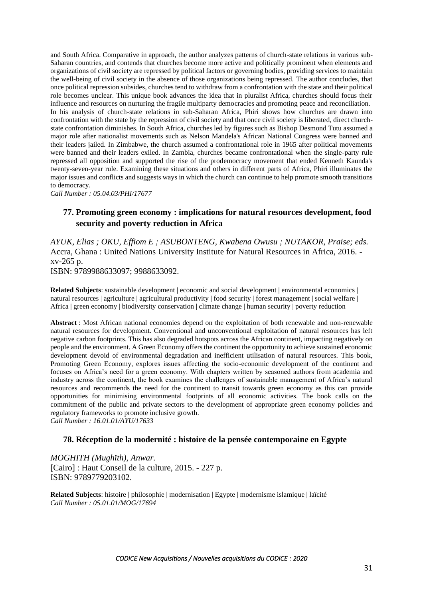and South Africa. Comparative in approach, the author analyzes patterns of church-state relations in various sub-Saharan countries, and contends that churches become more active and politically prominent when elements and organizations of civil society are repressed by political factors or governing bodies, providing services to maintain the well-being of civil society in the absence of those organizations being repressed. The author concludes, that once political repression subsides, churches tend to withdraw from a confrontation with the state and their political role becomes unclear. This unique book advances the idea that in pluralist Africa, churches should focus their influence and resources on nurturing the fragile multiparty democracies and promoting peace and reconciliation. In his analysis of church-state relations in sub-Saharan Africa, Phiri shows how churches are drawn into confrontation with the state by the repression of civil society and that once civil society is liberated, direct churchstate confrontation diminishes. In South Africa, churches led by figures such as Bishop Desmond Tutu assumed a major role after nationalist movements such as Nelson Mandela's African National Congress were banned and their leaders jailed. In Zimbabwe, the church assumed a confrontational role in 1965 after political movements were banned and their leaders exiled. In Zambia, churches became confrontational when the single-party rule repressed all opposition and supported the rise of the prodemocracy movement that ended Kenneth Kaunda's twenty-seven-year rule. Examining these situations and others in different parts of Africa, Phiri illuminates the major issues and conflicts and suggests ways in which the church can continue to help promote smooth transitions to democracy.

*Call Number : 05.04.03/PHI/17677*

## **77. Promoting green economy : implications for natural resources development, food security and poverty reduction in Africa**

*AYUK, Elias ; OKU, Effiom E ; ASUBONTENG, Kwabena Owusu ; NUTAKOR, Praise; eds.* Accra, Ghana : United Nations University Institute for Natural Resources in Africa, 2016. xv-265 p.

ISBN: 9789988633097; 9988633092.

**Related Subjects**: sustainable development | economic and social development | environmental economics | natural resources | agriculture | agricultural productivity | food security | forest management | social welfare | Africa | green economy | biodiversity conservation | climate change | human security | poverty reduction

**Abstract** : Most African national economies depend on the exploitation of both renewable and non-renewable natural resources for development. Conventional and unconventional exploitation of natural resources has left negative carbon footprints. This has also degraded hotspots across the African continent, impacting negatively on people and the environment. A Green Economy offers the continent the opportunity to achieve sustained economic development devoid of environmental degradation and inefficient utilisation of natural resources. This book, Promoting Green Economy, explores issues affecting the socio-economic development of the continent and focuses on Africa's need for a green economy. With chapters written by seasoned authors from academia and industry across the continent, the book examines the challenges of sustainable management of Africa's natural resources and recommends the need for the continent to transit towards green economy as this can provide opportunities for minimising environmental footprints of all economic activities. The book calls on the commitment of the public and private sectors to the development of appropriate green economy policies and regulatory frameworks to promote inclusive growth. *Call Number : 16.01.01/AYU/17633*

#### **78. Réception de la modernité : histoire de la pensée contemporaine en Egypte**

*MOGHITH (Mughïth), Anwar.* [Cairo] : Haut Conseil de la culture, 2015. - 227 p. ISBN: 9789779203102.

**Related Subjects**: histoire | philosophie | modernisation | Egypte | modernisme islamique | laïcité *Call Number : 05.01.01/MOG/17694*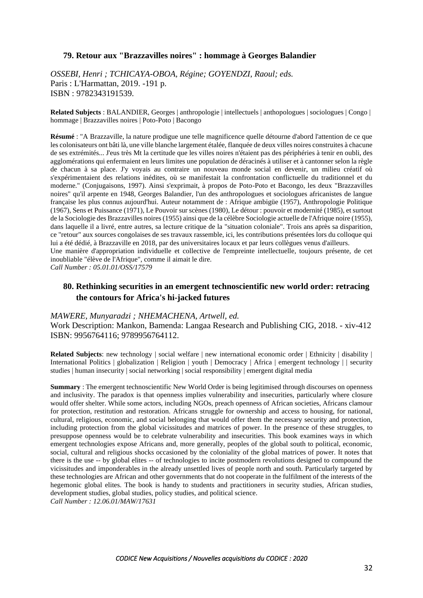### **79. Retour aux "Brazzavilles noires" : hommage à Georges Balandier**

*OSSEBI, Henri ; TCHICAYA-OBOA, Régine; GOYENDZI, Raoul; eds.* Paris : L'Harmattan, 2019. -191 p. ISBN : 9782343191539.

**Related Subjects** : BALANDIER, Georges | anthropologie | intellectuels | anthopologues | sociologues | Congo | hommage | Brazzavilles noires | Poto-Poto | Bacongo

**Résumé** : "A Brazzaville, la nature prodigue une telle magnificence quelle détourne d'abord l'attention de ce que les colonisateurs ont bâti là, une ville blanche largement étalée, flanquée de deux villes noires construites à chacune de ses extrémités... J'eus très Mt la certitude que les villes noires n'étaient pas des périphéries à tenir en oubli, des agglomérations qui enfermaient en leurs limites une population de déracinés à utiliser et à cantonner selon la règle de chacun à sa place. J'y voyais au contraire un nouveau monde social en devenir, un milieu créatif où s'expérimentaient des relations inédites, où se manifestait la confrontation conflictuelle du traditionnel et du moderne." (Conjugaisons, 1997). Ainsi s'exprimait, à propos de Poto-Poto et Bacongo, les deux "Brazzavilles noires" qu'il arpente en 1948, Georges Balandier, l'un des anthropologues et sociologues africanistes de langue française les plus connus aujourd'hui. Auteur notamment de : Afrique ambigüe (1957), Anthropologie Politique (1967), Sens et Puissance (1971), Le Pouvoir sur scènes (1980), Le détour : pouvoir et modernité (1985), et surtout de la Sociologie des Brazzavilles noires (1955) ainsi que de la célèbre Sociologie actuelle de l'Afrique noire (1955), dans laquelle il a livré, entre autres, sa lecture critique de la "situation coloniale". Trois ans après sa disparition, ce "retour" aux sources congolaises de ses travaux rassemble, ici, les contributions présentées lors du colloque qui lui a été dédié, à Brazzaville en 2018, par des universitaires locaux et par leurs collègues venus d'ailleurs. Une manière d'appropriation individuelle et collective de l'empreinte intellectuelle, toujours présente, de cet inoubliable "élève de l'Afrique", comme il aimait le dire.

*Call Number : 05.01.01/OSS/17579*

## **80. Rethinking securities in an emergent technoscientific new world order: retracing the contours for Africa's hi-jacked futures**

#### *MAWERE, Munyaradzi ; NHEMACHENA, Artwell, ed.*

Work Description: Mankon, Bamenda: Langaa Research and Publishing CIG, 2018. - xiv-412 ISBN: 9956764116; 9789956764112.

**Related Subjects**: new technology | social welfare | new international economic order | Ethnicity | disability | International Politics | globalization | Religion | youth | Democracy | Africa | emergent technology | | security studies | human insecurity | social networking | social responsibility | emergent digital media

**Summary** : The emergent technoscientific New World Order is being legitimised through discourses on openness and inclusivity. The paradox is that openness implies vulnerability and insecurities, particularly where closure would offer shelter. While some actors, including NGOs, preach openness of African societies, Africans clamour for protection, restitution and restoration. Africans struggle for ownership and access to housing, for national, cultural, religious, economic, and social belonging that would offer them the necessary security and protection, including protection from the global vicissitudes and matrices of power. In the presence of these struggles, to presuppose openness would be to celebrate vulnerability and insecurities. This book examines ways in which emergent technologies expose Africans and, more generally, peoples of the global south to political, economic, social, cultural and religious shocks occasioned by the coloniality of the global matrices of power. It notes that there is the use -- by global elites -- of technologies to incite postmodern revolutions designed to compound the vicissitudes and imponderables in the already unsettled lives of people north and south. Particularly targeted by these technologies are African and other governments that do not cooperate in the fulfilment of the interests of the hegemonic global elites. The book is handy to students and practitioners in security studies, African studies, development studies, global studies, policy studies, and political science.

*Call Number : 12.06.01/MAW/17631*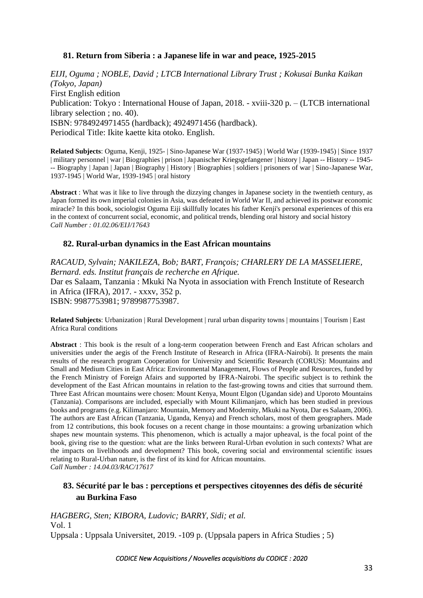## **81. Return from Siberia : a Japanese life in war and peace, 1925-2015**

*EIJI, Oguma ; NOBLE, David ; LTCB International Library Trust ; Kokusai Bunka Kaikan (Tokyo, Japan)* First English edition Publication: Tokyo : International House of Japan, 2018. - xviii-320 p. – (LTCB international library selection ; no. 40). ISBN: 9784924971455 (hardback); 4924971456 (hardback). Periodical Title: Ikite kaette kita otoko. English.

**Related Subjects**: Oguma, Kenji, 1925- | Sino-Japanese War (1937-1945) | World War (1939-1945) | Since 1937 | military personnel | war | Biographies | prison | Japanischer Kriegsgefangener | history | Japan -- History -- 1945- -- Biography | Japan | Japan | Biography | History | Biographies | soldiers | prisoners of war | Sino-Japanese War, 1937-1945 | World War, 1939-1945 | oral history

**Abstract** : What was it like to live through the dizzying changes in Japanese society in the twentieth century, as Japan formed its own imperial colonies in Asia, was defeated in World War II, and achieved its postwar economic miracle? In this book, sociologist Oguma Eiji skillfully locates his father Kenji's personal experiences of this era in the context of concurrent social, economic, and political trends, blending oral history and social history *Call Number : 01.02.06/EIJ/17643*

### **82. Rural-urban dynamics in the East African mountains**

*RACAUD, Sylvain; NAKILEZA, Bob; BART, François; CHARLERY DE LA MASSELIERE, Bernard. eds. Institut français de recherche en Afrique.* Dar es Salaam, Tanzania : Mkuki Na Nyota in association with French Institute of Research in Africa (IFRA), 2017. - xxxv, 352 p. ISBN: 9987753981; 9789987753987.

**Related Subjects**: Urbanization | Rural Development | rural urban disparity towns | mountains | Tourism | East Africa Rural conditions

**Abstract** : This book is the result of a long-term cooperation between French and East African scholars and universities under the aegis of the French Institute of Research in Africa (IFRA-Nairobi). It presents the main results of the research program Cooperation for University and Scientific Research (CORUS): Mountains and Small and Medium Cities in East Africa: Environmental Management, Flows of People and Resources, funded by the French Ministry of Foreign Afairs and supported by IFRA-Nairobi. The specific subject is to rethink the development of the East African mountains in relation to the fast-growing towns and cities that surround them. Three East African mountains were chosen: Mount Kenya, Mount Elgon (Ugandan side) and Uporoto Mountains (Tanzania). Comparisons are included, especially with Mount Kilimanjaro, which has been studied in previous books and programs (e.g. Kilimanjaro: Mountain, Memory and Modernity, Mkuki na Nyota, Dar es Salaam, 2006). The authors are East African (Tanzania, Uganda, Kenya) and French scholars, most of them geographers. Made from 12 contributions, this book focuses on a recent change in those mountains: a growing urbanization which shapes new mountain systems. This phenomenon, which is actually a major upheaval, is the focal point of the book, giving rise to the question: what are the links between Rural-Urban evolution in such contexts? What are the impacts on livelihoods and development? This book, covering social and environmental scientific issues relating to Rural-Urban nature, is the first of its kind for African mountains. *Call Number : 14.04.03/RAC/17617*

### **83. Sécurité par le bas : perceptions et perspectives citoyennes des défis de sécurité au Burkina Faso**

*HAGBERG, Sten; KIBORA, Ludovic; BARRY, Sidi; et al.* Vol. 1 Uppsala : Uppsala Universitet, 2019. -109 p. (Uppsala papers in Africa Studies ; 5)

*CODICE New Acquisitions / Nouvelles acquisitions du CODICE : 2020*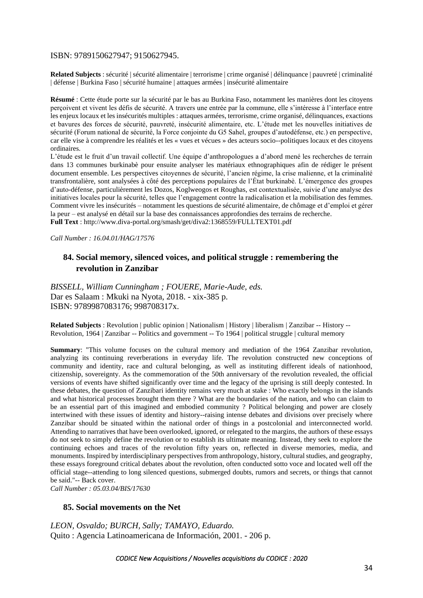#### ISBN: 9789150627947; 9150627945.

**Related Subjects** : sécurité | sécurité alimentaire | terrorisme | crime organisé | délinquance | pauvreté | criminalité | défense | Burkina Faso | sécurité humaine | attaques armées | insécurité alimentaire

**Résumé** : Cette étude porte sur la sécurité par le bas au Burkina Faso, notamment les manières dont les citoyens perçoivent et vivent les défis de sécurité. A travers une entrée par la commune, elle s'intéresse à l'interface entre les enjeux locaux et les insécurités multiples : attaques armées, terrorisme, crime organisé, délinquances, exactions et bavures des forces de sécurité, pauvreté, insécurité alimentaire, etc. L'étude met les nouvelles initiatives de sécurité (Forum national de sécurité, la Force conjointe du G5 Sahel, groupes d'autodéfense, etc.) en perspective, car elle vise à comprendre les réalités et les « vues et vécues » des acteurs socio--politiques locaux et des citoyens ordinaires.

L'étude est le fruit d'un travail collectif. Une équipe d'anthropologues a d'abord mené les recherches de terrain dans 13 communes burkinabè pour ensuite analyser les matériaux ethnographiques afin de rédiger le présent document ensemble. Les perspectives citoyennes de sécurité, l'ancien régime, la crise malienne, et la criminalité transfrontalière, sont analysées à côté des perceptions populaires de l'État burkinabè. L'émergence des groupes d'auto-défense, particulièrement les Dozos, Koglweogos et Roughas, est contextualisée, suivie d'une analyse des initiatives locales pour la sécurité, telles que l'engagement contre la radicalisation et la mobilisation des femmes. Comment vivre les insécurités – notamment les questions de sécurité alimentaire, de chômage et d'emploi et gérer la peur – est analysé en détail sur la base des connaissances approfondies des terrains de recherche. **Full Text** :<http://www.diva-portal.org/smash/get/diva2:1368559/FULLTEXT01.pdf>

*Call Number : 16.04.01/HAG/17576*

## **84. Social memory, silenced voices, and political struggle : remembering the revolution in Zanzibar**

*BISSELL, William Cunningham ; FOUERE, Marie-Aude, eds.* Dar es Salaam : Mkuki na Nyota, 2018. - xix-385 p. ISBN: 9789987083176; 998708317x.

**Related Subjects** : Revolution | public opinion | Nationalism | History | liberalism | Zanzibar -- History -- Revolution, 1964 | Zanzibar -- Politics and government -- To 1964 | political struggle | cultural memory

**Summary**: "This volume focuses on the cultural memory and mediation of the 1964 Zanzibar revolution, analyzing its continuing reverberations in everyday life. The revolution constructed new conceptions of community and identity, race and cultural belonging, as well as instituting different ideals of nationhood, citizenship, sovereignty. As the commemoration of the 50th anniversary of the revolution revealed, the official versions of events have shifted significantly over time and the legacy of the uprising is still deeply contested. In these debates, the question of Zanzibari identity remains very much at stake : Who exactly belongs in the islands and what historical processes brought them there ? What are the boundaries of the nation, and who can claim to be an essential part of this imagined and embodied community ? Political belonging and power are closely intertwined with these issues of identity and history--raising intense debates and divisions over precisely where Zanzibar should be situated within the national order of things in a postcolonial and interconnected world. Attending to narratives that have been overlooked, ignored, or relegated to the margins, the authors of these essays do not seek to simply define the revolution or to establish its ultimate meaning. Instead, they seek to explore the continuing echoes and traces of the revolution fifty years on, reflected in diverse memories, media, and monuments. Inspired by interdisciplinary perspectives from anthropology, history, cultural studies, and geography, these essays foreground critical debates about the revolution, often conducted sotto voce and located well off the official stage--attending to long silenced questions, submerged doubts, rumors and secrets, or things that cannot be said."-- Back cover. *Call Number : 05.03.04/BIS/17630*

**85. Social movements on the Net**

*LEON, Osvaldo; BURCH, Sally; TAMAYO, Eduardo.* Quito : Agencia Latinoamericana de Información, 2001. - 206 p.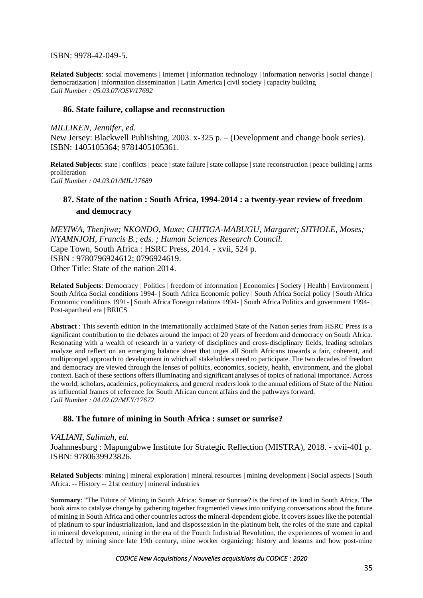ISBN: 9978-42-049-5.

**Related Subjects**: social movements | Internet | information technology | information networks | social change | democratization | information dissemination | Latin America | civil society | capacity building *Call Number : 05.03.07/OSV/17692*

#### **86. State failure, collapse and reconstruction**

*MILLIKEN, Jennifer, ed.* New Jersey: Blackwell Publishing, 2003. x-325 p. – (Development and change book series). ISBN: 1405105364; 9781405105361.

**Related Subjects**: state | conflicts | peace | state failure | state collapse | state reconstruction | peace building | arms proliferation *Call Number : 04.03.01/MIL/17689*

## **87. State of the nation : South Africa, 1994-2014 : a twenty-year review of freedom and democracy**

*MEYIWA, Thenjiwe; NKONDO, Muxe; CHITIGA-MABUGU, Margaret; SITHOLE, Moses; NYAMNJOH, Francis B.; eds. ; Human Sciences Research Council.* Cape Town, South Africa : HSRC Press, 2014. - xvii, 524 p. ISBN : 9780796924612; 0796924619. Other Title: State of the nation 2014.

**Related Subjects**: Democracy | Politics | freedom of information | Economics | Society | Health | Environment | South Africa Social conditions 1994- | South Africa Economic policy | South Africa Social policy | South Africa Economic conditions 1991- | South Africa Foreign relations 1994- | South Africa Politics and government 1994- | Post-apartheid era | BRICS

**Abstract** : This seventh edition in the internationally acclaimed State of the Nation series from HSRC Press is a significant contribution to the debates around the impact of 20 years of freedom and democracy on South Africa. Resonating with a wealth of research in a variety of disciplines and cross-disciplinary fields, leading scholars analyze and reflect on an emerging balance sheet that urges all South Africans towards a fair, coherent, and multipronged approach to development in which all stakeholders need to participate. The two decades of freedom and democracy are viewed through the lenses of politics, economics, society, health, environment, and the global context. Each of these sections offers illuminating and significant analyses of topics of national importance. Across the world, scholars, academics, policymakers, and general readers look to the annual editions of State of the Nation as influential frames of reference for South African current affairs and the pathways forward. *Call Number : 04.02.02/MEY/17672*

#### **88. The future of mining in South Africa : sunset or sunrise?**

#### *VALIANI, Salimah, ed.*

Joahnnesburg : Mapungubwe Institute for Strategic Reflection (MISTRA), 2018. - xvii-401 p. ISBN: 9780639923826.

**Related Subjects**: mining | mineral exploration | mineral resources | mining development | Social aspects | South Africa. -- History -- 21st century | mineral industries

**Summary**: "The Future of Mining in South Africa: Sunset or Sunrise? is the first of its kind in South Africa. The book aims to catalyse change by gathering together fragmented views into unifying conversations about the future of mining in South Africa and other countries across the mineral-dependent globe. It covers issues like the potential of platinum to spur industrialization, land and dispossession in the platinum belt, the roles of the state and capital in mineral development, mining in the era of the Fourth Industrial Revolution, the experiences of women in and affected by mining since late 19th century, mine worker organizing: history and lessons and how post-mine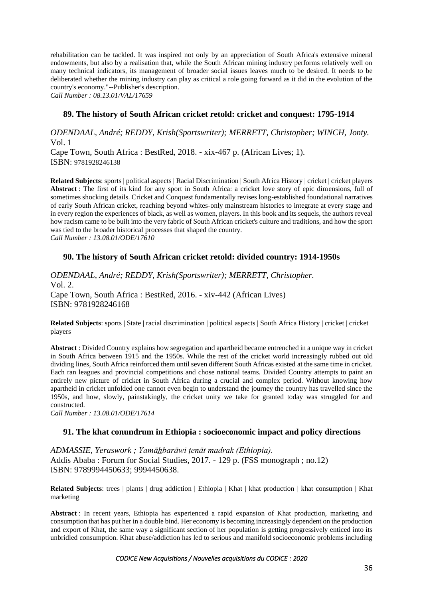rehabilitation can be tackled. It was inspired not only by an appreciation of South Africa's extensive mineral endowments, but also by a realisation that, while the South African mining industry performs relatively well on many technical indicators, its management of broader social issues leaves much to be desired. It needs to be deliberated whether the mining industry can play as critical a role going forward as it did in the evolution of the country's economy."--Publisher's description.

*Call Number : 08.13.01/VAL/17659*

### **89. The history of South African cricket retold: cricket and conquest: 1795-1914**

*ODENDAAL, André; REDDY, Krish(Sportswriter); MERRETT, Christopher; WINCH, Jonty.* Vol. 1 Cape Town, South Africa : BestRed, 2018. - xix-467 p. (African Lives; 1).

ISBN: 9781928246138

**Related Subjects**: sports | political aspects | Racial Discrimination | South Africa History | cricket | cricket players **Abstract** : The first of its kind for any sport in South Africa: a cricket love story of epic dimensions, full of sometimes shocking details. Cricket and Conquest fundamentally revises long-established foundational narratives of early South African cricket, reaching beyond whites-only mainstream histories to integrate at every stage and in every region the experiences of black, as well as women, players. In this book and its sequels, the authors reveal how racism came to be built into the very fabric of South African cricket's culture and traditions, and how the sport was tied to the broader historical processes that shaped the country. *Call Number : 13.08.01/ODE/17610*

### **90. The history of South African cricket retold: divided country: 1914-1950s**

*ODENDAAL, André; REDDY, Krish(Sportswriter); MERRETT, Christopher.* Vol. 2. Cape Town, South Africa : BestRed, 2016. - xiv-442 (African Lives) ISBN: 9781928246168

**Related Subjects**: sports | State | racial discrimination | political aspects | South Africa History | cricket | cricket players

**Abstract** : Divided Country explains how segregation and apartheid became entrenched in a unique way in cricket in South Africa between 1915 and the 1950s. While the rest of the cricket world increasingly rubbed out old dividing lines, South Africa reinforced them until seven different South Africas existed at the same time in cricket. Each ran leagues and provincial competitions and chose national teams. Divided Country attempts to paint an entirely new picture of cricket in South Africa during a crucial and complex period. Without knowing how apartheid in cricket unfolded one cannot even begin to understand the journey the country has travelled since the 1950s, and how, slowly, painstakingly, the cricket unity we take for granted today was struggled for and constructed.

*Call Number : 13.08.01/ODE/17614*

#### **91. The khat conundrum in Ethiopia : socioeconomic impact and policy directions**

*ADMASSIE, Yeraswork ; Yamāh̲barāwi ṭenāt madrak (Ethiopia).* Addis Ababa : Forum for Social Studies, 2017. - 129 p. (FSS monograph ; no.12) ISBN: 9789994450633; 9994450638.

**Related Subjects**: trees | plants | drug addiction | Ethiopia | Khat | khat production | khat consumption | Khat marketing

**Abstract** : In recent years, Ethiopia has experienced a rapid expansion of Khat production, marketing and consumption that has put her in a double bind. Her economy is becoming increasingly dependent on the production and export of Khat, the same way a significant section of her population is getting progressively enticed into its unbridled consumption. Khat abuse/addiction has led to serious and manifold socioeconomic problems including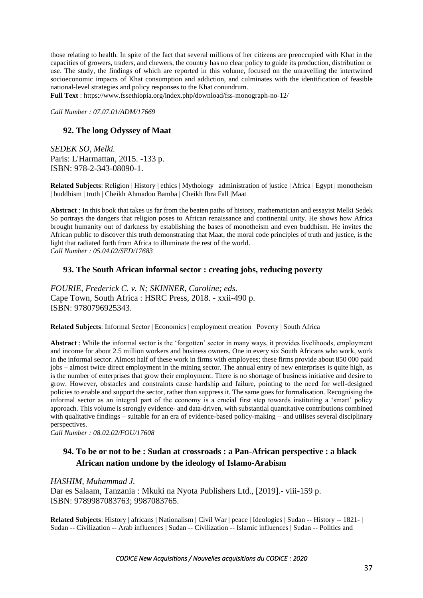those relating to health. In spite of the fact that several millions of her citizens are preoccupied with Khat in the capacities of growers, traders, and chewers, the country has no clear policy to guide its production, distribution or use. The study, the findings of which are reported in this volume, focused on the unravelling the intertwined socioeconomic impacts of Khat consumption and addiction, and culminates with the identification of feasible national-level strategies and policy responses to the Khat conundrum.

**Full Text** :<https://www.fssethiopia.org/index.php/download/fss-monograph-no-12/>

*Call Number : 07.07.01/ADM/17669*

### **92. The long Odyssey of Maat**

*SEDEK SO, Melki.* Paris: L'Harmattan, 2015. -133 p. ISBN: 978-2-343-08090-1.

**Related Subjects**: Religion | History | ethics | Mythology | administration of justice | Africa | Egypt | monotheism | buddhism | truth | Cheikh Ahmadou Bamba | Cheikh Ibra Fall |Maat

**Abstract** : In this book that takes us far from the beaten paths of history, mathematician and essayist Melki Sedek So portrays the dangers that religion poses to African renaissance and continental unity. He shows how Africa brought humanity out of darkness by establishing the bases of monotheism and even buddhism. He invites the African public to discover this truth demonstrating that Maat, the moral code principles of truth and justice, is the light that radiated forth from Africa to illuminate the rest of the world. *Call Number : 05.04.02/SED/17683*

#### **93. The South African informal sector : creating jobs, reducing poverty**

*FOURIE, Frederick C. v. N; SKINNER, Caroline; eds.* Cape Town, South Africa : HSRC Press, 2018. - xxii-490 p. ISBN: 9780796925343.

**Related Subjects**: Informal Sector | Economics | employment creation | Poverty | South Africa

**Abstract** : While the informal sector is the 'forgotten' sector in many ways, it provides livelihoods, employment and income for about 2.5 million workers and business owners. One in every six South Africans who work, work in the informal sector. Almost half of these work in firms with employees; these firms provide about 850 000 paid jobs – almost twice direct employment in the mining sector. The annual entry of new enterprises is quite high, as is the number of enterprises that grow their employment. There is no shortage of business initiative and desire to grow. However, obstacles and constraints cause hardship and failure, pointing to the need for well-designed policies to enable and support the sector, rather than suppress it. The same goes for formalisation. Recognising the informal sector as an integral part of the economy is a crucial first step towards instituting a 'smart' policy approach. This volume is strongly evidence- and data-driven, with substantial quantitative contributions combined with qualitative findings – suitable for an era of evidence-based policy-making – and utilises several disciplinary perspectives.

*Call Number : 08.02.02/FOU/17608*

# **94. To be or not to be : Sudan at crossroads : a Pan-African perspective : a black African nation undone by the ideology of Islamo-Arabism**

*HASHIM, Muhammad J.* Dar es Salaam, Tanzania : Mkuki na Nyota Publishers Ltd., [2019].- viii-159 p. ISBN: 9789987083763; 9987083765.

**Related Subjects**: History | africans | Nationalism | Civil War | peace | Ideologies | Sudan -- History -- 1821- | Sudan -- Civilization -- Arab influences | Sudan -- Civilization -- Islamic influences | Sudan -- Politics and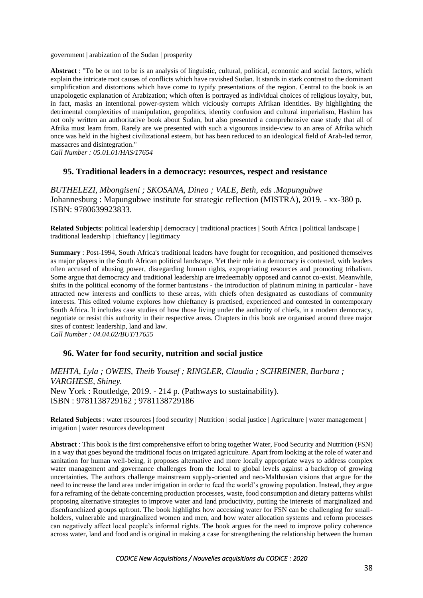government | arabization of the Sudan | prosperity

**Abstract** : "To be or not to be is an analysis of linguistic, cultural, political, economic and social factors, which explain the intricate root causes of conflicts which have ravished Sudan. It stands in stark contrast to the dominant simplification and distortions which have come to typify presentations of the region. Central to the book is an unapologetic explanation of Arabization; which often is portrayed as individual choices of religious loyalty, but, in fact, masks an intentional power-system which viciously corrupts Afrikan identities. By highlighting the detrimental complexities of manipulation, geopolitics, identity confusion and cultural imperialism, Hashim has not only written an authoritative book about Sudan, but also presented a comprehensive case study that all of Afrika must learn from. Rarely are we presented with such a vigourous inside-view to an area of Afrika which once was held in the highest civilizational esteem, but has been reduced to an ideological field of Arab-led terror, massacres and disintegration."

*Call Number : 05.01.01/HAS/17654*

#### **95. Traditional leaders in a democracy: resources, respect and resistance**

*BUTHELEZI, Mbongiseni ; SKOSANA, Dineo ; VALE, Beth, eds .Mapungubwe* Johannesburg : Mapungubwe institute for strategic reflection (MISTRA), 2019. - xx-380 p. ISBN: 9780639923833.

**Related Subjects**: political leadership | democracy | traditional practices | South Africa | political landscape | traditional leadership | chieftancy | legitimacy

**Summary** : Post-1994, South Africa's traditional leaders have fought for recognition, and positioned themselves as major players in the South African political landscape. Yet their role in a democracy is contested, with leaders often accused of abusing power, disregarding human rights, expropriating resources and promoting tribalism. Some argue that democracy and traditional leadership are irredeemably opposed and cannot co-exist. Meanwhile, shifts in the political economy of the former bantustans - the introduction of platinum mining in particular - have attracted new interests and conflicts to these areas, with chiefs often designated as custodians of community interests. This edited volume explores how chieftancy is practised, experienced and contested in contemporary South Africa. It includes case studies of how those living under the authority of chiefs, in a modern democracy, negotiate or resist this authority in their respective areas. Chapters in this book are organised around three major sites of contest: leadership, land and law. *Call Number : 04.04.02/BUT/17655*

**96. Water for food security, nutrition and social justice**

*MEHTA, Lyla ; OWEIS, Theib Yousef ; RINGLER, Claudia ; SCHREINER, Barbara ; VARGHESE, Shiney.* New York : Routledge, 2019. - 214 p. (Pathways to sustainability). ISBN : 9781138729162 ; 9781138729186

**Related Subjects** : water resources | food security | Nutrition | social justice | Agriculture | water management | irrigation | water resources development

**Abstract** : This book is the first comprehensive effort to bring together Water, Food Security and Nutrition (FSN) in a way that goes beyond the traditional focus on irrigated agriculture. Apart from looking at the role of water and sanitation for human well-being, it proposes alternative and more locally appropriate ways to address complex water management and governance challenges from the local to global levels against a backdrop of growing uncertainties. The authors challenge mainstream supply-oriented and neo-Malthusian visions that argue for the need to increase the land area under irrigation in order to feed the world's growing population. Instead, they argue for a reframing of the debate concerning production processes, waste, food consumption and dietary patterns whilst proposing alternative strategies to improve water and land productivity, putting the interests of marginalized and disenfranchized groups upfront. The book highlights how accessing water for FSN can be challenging for smallholders, vulnerable and marginalized women and men, and how water allocation systems and reform processes can negatively affect local people's informal rights. The book argues for the need to improve policy coherence across water, land and food and is original in making a case for strengthening the relationship between the human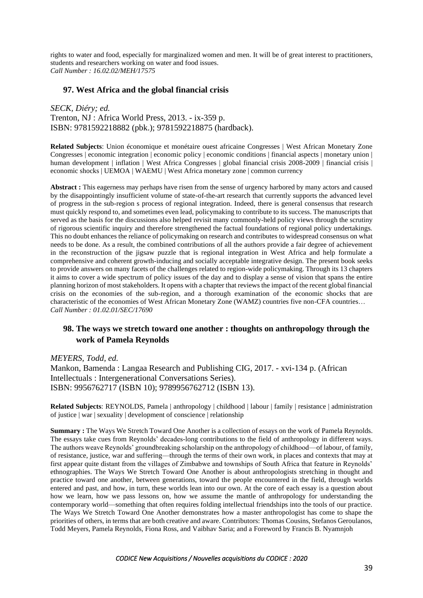rights to water and food, especially for marginalized women and men. It will be of great interest to practitioners, students and researchers working on water and food issues. *Call Number : 16.02.02/MEH/17575*

### **97. West Africa and the global financial crisis**

*SECK, Diéry; ed.*

Trenton, NJ : Africa World Press, 2013. - ix-359 p. ISBN: 9781592218882 (pbk.); 9781592218875 (hardback).

**Related Subjects**: Union économique et monétaire ouest africaine Congresses | West African Monetary Zone Congresses | economic integration | economic policy | economic conditions | financial aspects | monetary union | human development | inflation | West Africa Congresses | global financial crisis 2008-2009 | financial crisis | economic shocks | UEMOA | WAEMU | West Africa monetary zone | common currency

**Abstract :** This eagerness may perhaps have risen from the sense of urgency harbored by many actors and caused by the disappointingly insufficient volume of state-of-the-art research that currently supports the advanced level of progress in the sub-region s process of regional integration. Indeed, there is general consensus that research must quickly respond to, and sometimes even lead, policymaking to contribute to its success. The manuscripts that served as the basis for the discussions also helped revisit many commonly-held policy views through the scrutiny of rigorous scientific inquiry and therefore strengthened the factual foundations of regional policy undertakings. This no doubt enhances the reliance of policymaking on research and contributes to widespread consensus on what needs to be done. As a result, the combined contributions of all the authors provide a fair degree of achievement in the reconstruction of the jigsaw puzzle that is regional integration in West Africa and help formulate a comprehensive and coherent growth-inducing and socially acceptable integrative design. The present book seeks to provide answers on many facets of the challenges related to region-wide policymaking. Through its 13 chapters it aims to cover a wide spectrum of policy issues of the day and to display a sense of vision that spans the entire planning horizon of most stakeholders. It opens with a chapter that reviews the impact of the recent global financial crisis on the economies of the sub-region, and a thorough examination of the economic shocks that are characteristic of the economies of West African Monetary Zone (WAMZ) countries five non-CFA countries… *Call Number : 01.02.01/SEC/17690*

# **98. The ways we stretch toward one another : thoughts on anthropology through the work of Pamela Reynolds**

*MEYERS, Todd, ed.*

Mankon, Bamenda : Langaa Research and Publishing CIG, 2017. - xvi-134 p. (African Intellectuals : Intergenerational Conversations Series). ISBN: 9956762717 (ISBN 10); 9789956762712 (ISBN 13).

**Related Subjects**: REYNOLDS, Pamela | anthropology | childhood | labour | family | resistance | administration of justice | war | sexuality | development of conscience | relationship

**Summary :** The Ways We Stretch Toward One Another is a collection of essays on the work of Pamela Reynolds. The essays take cues from Reynolds' decades-long contributions to the field of anthropology in different ways. The authors weave Reynolds' groundbreaking scholarship on the anthropology of childhood––of labour, of family, of resistance, justice, war and suffering––through the terms of their own work, in places and contexts that may at first appear quite distant from the villages of Zimbabwe and townships of South Africa that feature in Reynolds' ethnographies. The Ways We Stretch Toward One Another is about anthropologists stretching in thought and practice toward one another, between generations, toward the people encountered in the field, through worlds entered and past, and how, in turn, these worlds lean into our own. At the core of each essay is a question about how we learn, how we pass lessons on, how we assume the mantle of anthropology for understanding the contemporary world––something that often requires folding intellectual friendships into the tools of our practice. The Ways We Stretch Toward One Another demonstrates how a master anthropologist has come to shape the priorities of others, in terms that are both creative and aware. Contributors: Thomas Cousins, Stefanos Geroulanos, Todd Meyers, Pamela Reynolds, Fiona Ross, and Vaibhav Saria; and a Foreword by Francis B. Nyamnjoh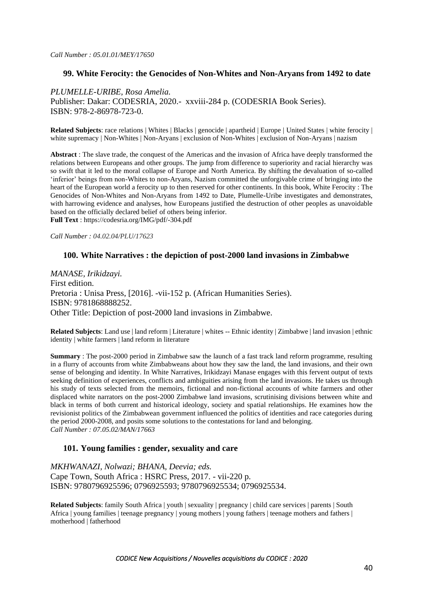### **99. White Ferocity: the Genocides of Non-Whites and Non-Aryans from 1492 to date**

*PLUMELLE-URIBE, Rosa Amelia.*

Publisher: Dakar: CODESRIA, 2020.- xxviii-284 p. (CODESRIA Book Series). ISBN: 978-2-86978-723-0.

**Related Subjects**: race relations | Whites | Blacks | genocide | apartheid | Europe | United States | white ferocity | white supremacy | Non-Whites | Non-Aryans | exclusion of Non-Whites | exclusion of Non-Aryans | nazism

**Abstract** : The slave trade, the conquest of the Americas and the invasion of Africa have deeply transformed the relations between Europeans and other groups. The jump from difference to superiority and racial hierarchy was so swift that it led to the moral collapse of Europe and North America. By shifting the devaluation of so-called 'inferior' beings from non-Whites to non-Aryans, Nazism committed the unforgivable crime of bringing into the heart of the European world a ferocity up to then reserved for other continents. In this book, White Ferocity : The Genocides of Non-Whites and Non-Aryans from 1492 to Date, Plumelle-Uribe investigates and demonstrates, with harrowing evidence and analyses, how Europeans justified the destruction of other peoples as unavoidable based on the officially declared belief of others being inferior.

**Full Text** : <https://codesria.org/IMG/pdf/-304.pdf>

*Call Number : 04.02.04/PLU/17623*

### **100. White Narratives : the depiction of post-2000 land invasions in Zimbabwe**

*MANASE, Irikidzayi.* First edition. Pretoria : Unisa Press, [2016]. -vii-152 p. (African Humanities Series). ISBN: 9781868888252. Other Title: Depiction of post-2000 land invasions in Zimbabwe.

**Related Subjects**: Land use | land reform | Literature | whites -- Ethnic identity | Zimbabwe | land invasion | ethnic identity | white farmers | land reform in literature

**Summary** : The post-2000 period in Zimbabwe saw the launch of a fast track land reform programme, resulting in a flurry of accounts from white Zimbabweans about how they saw the land, the land invasions, and their own sense of belonging and identity. In White Narratives, Irikidzayi Manase engages with this fervent output of texts seeking definition of experiences, conflicts and ambiguities arising from the land invasions. He takes us through his study of texts selected from the memoirs, fictional and non-fictional accounts of white farmers and other displaced white narrators on the post-2000 Zimbabwe land invasions, scrutinising divisions between white and black in terms of both current and historical ideology, society and spatial relationships. He examines how the revisionist politics of the Zimbabwean government influenced the politics of identities and race categories during the period 2000-2008, and posits some solutions to the contestations for land and belonging. *Call Number : 07.05.02/MAN/17663*

#### **101. Young families : gender, sexuality and care**

*MKHWANAZI, Nolwazi; BHANA, Deevia; eds.* Cape Town, South Africa : HSRC Press, 2017. - vii-220 p. ISBN: 9780796925596; 0796925593; 9780796925534; 0796925534.

**Related Subjects**: family South Africa | youth | sexuality | pregnancy | child care services | parents | South Africa | young families | teenage pregnancy | young mothers | young fathers | teenage mothers and fathers | motherhood | fatherhood